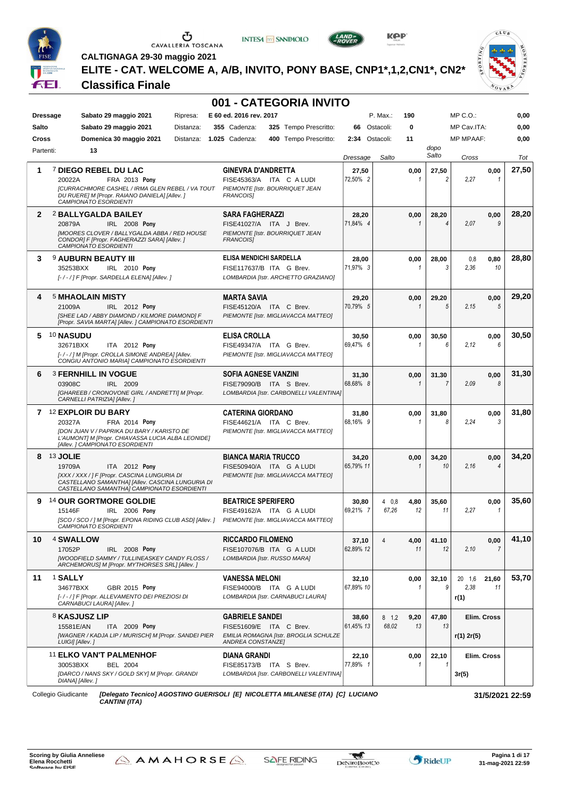







 $CLU_B$ **VOVAR** 

 $0 R T I N$ 

**CALTIGNAGA 29-30 maggio 2021 ELITE - CAT. WELCOME A, A/B, INVITO, PONY BASE, CNP1\*,1,2,CN1\*, CN2\***

#### **Classifica Finale**

|              |                                                                                                                                                                                                     | 001 - CATEGORIA INVITO                                                                                          |                    |                    |                                    |                                       |       |
|--------------|-----------------------------------------------------------------------------------------------------------------------------------------------------------------------------------------------------|-----------------------------------------------------------------------------------------------------------------|--------------------|--------------------|------------------------------------|---------------------------------------|-------|
|              | Sabato 29 maggio 2021<br>Ripresa:<br><b>Dressage</b>                                                                                                                                                | E 60 ed. 2016 rev. 2017                                                                                         |                    | P. Max.:<br>190    |                                    | $MP C. O.$ :                          | 0,00  |
| Salto        | Sabato 29 maggio 2021<br>Distanza:                                                                                                                                                                  | 325 Tempo Prescritto:<br>355 Cadenza:                                                                           | 66                 | Ostacoli:          | 0                                  | MP Cav.ITA:                           | 0,00  |
| Cross        | Domenica 30 maggio 2021<br>Distanza:                                                                                                                                                                | <b>1.025 Cadenza:</b><br>400 Tempo Prescritto:                                                                  | 2:34               | Ostacoli:          | 11                                 | <b>MP MPAAF:</b>                      | 0,00  |
| Partenti:    | 13                                                                                                                                                                                                  |                                                                                                                 | Dressage           | Salto              | dopo<br>Salto                      | Cross                                 | Tot   |
| 1            | <sup>7</sup> DIEGO REBEL DU LAC<br>FRA 2013 Pony<br>20022A<br>[CURRACHMORE CASHEL / IRMA GLEN REBEL / VA TOUT<br>DU RUERE] M [Propr. RAIANO DANIELA] [Allev.]<br>CAMPIONATO ESORDIENTI              | <b>GINEVRA D'ANDRETTA</b><br>FISE45363/A ITA C A LUDI<br>PIEMONTE IIstr. BOURRIQUET JEAN<br><b>FRANCOISI</b>    | 27,50<br>72,50% 2  |                    | 0,00<br>27,50<br>$\mathfrak{p}$    | 0,00<br>2,27<br>1                     | 27,50 |
| $\mathbf{2}$ | 2 BALLYGALDA BAILEY<br>20879A<br>IRL 2008 Pony<br>[MOORES CLOVER / BALLYGALDA ABBA / RED HOUSE<br>CONDOR] F [Propr. FAGHERAZZI SARA] [Allev.]<br>CAMPIONATO ESORDIENTI                              | <b>SARA FAGHERAZZI</b><br>FISE41027/A ITA J Brev.<br>PIEMONTE [Istr. BOURRIQUET JEAN<br><b>FRANCOISI</b>        | 28,20<br>71.84% 4  |                    | 0,00<br>28,20<br>1<br>4            | 0,00<br>9<br>2.07                     | 28,20 |
| 3            | <b>9 AUBURN BEAUTY III</b><br>35253BXX<br>IRL 2010 Pony<br>[-/-/] F [Propr. SARDELLA ELENA] [Allev.]                                                                                                | ELISA MENDICHI SARDELLA<br>FISE117637/B ITA G Brev.<br>LOMBARDIA [Istr. ARCHETTO GRAZIANO]                      | 28,00<br>71.97% 3  |                    | 0,00<br>28,00<br>3<br>1            | 0,80<br>0,8<br>2,36<br>10             | 28,80 |
| 4            | <b>5 MHAOLAIN MISTY</b><br>21009A<br>IRL 2012 Pony<br>[SHEE LAD / ABBY DIAMOND / KILMORE DIAMOND] F<br>[Propr. SAVIA MARTA] [Allev. ] CAMPIONATO ESORDIENTI                                         | <b>MARTA SAVIA</b><br>FISE45120/A ITA C Brev.<br>PIEMONTE [Istr. MIGLIAVACCA MATTEO]                            | 29,20<br>70.79% 5  |                    | 0,00<br>29,20<br>5<br>1            | 0,00<br>5<br>2.15                     | 29,20 |
|              | 5 10 NASUDU<br>32671BXX<br>ITA 2012 Pony<br>[-/-/] M [Propr. CROLLA SIMONE ANDREA] [Allev.<br>CONGIU ANTONIO MARIA] CAMPIONATO ESORDIENTI                                                           | <b>ELISA CROLLA</b><br>FISE49347/A ITA G Brev.<br>PIEMONTE [Istr. MIGLIAVACCA MATTEO]                           | 30,50<br>69,47% 6  |                    | 30,50<br>0,00<br>6<br>1            | 0,00<br>6<br>2,12                     | 30,50 |
| 6            | <b>3 FERNHILL IN VOGUE</b><br>03908C<br>IRL 2009<br>[GHAREEB / CRONOVONE GIRL / ANDRETTI] M [Propr.<br>CARNELLI PATRIZIA] [Allev.]                                                                  | <b>SOFIA AGNESE VANZINI</b><br>FISE79090/B ITA S Brev.<br>LOMBARDIA [Istr. CARBONELLI VALENTINA]                | 31,30<br>68,68% 8  |                    | 0,00<br>31,30<br>$\mathbf{1}$<br>7 | 0,00<br>2.09<br>8                     | 31,30 |
|              | 7 12 EXPLOIR DU BARY<br>20327A<br>FRA 2014 Pony<br>[DON JUAN V / PAPRIKA DU BARY / KARISTO DE<br>L'AUMONT] M [Propr. CHIAVASSA LUCIA ALBA LEONIDE]<br>[Allev.] CAMPIONATO ESORDIENTI                | <b>CATERINA GIORDANO</b><br>FISE44621/A ITA C Brev.<br>PIEMONTE [Istr. MIGLIAVACCA MATTEO]                      | 31,80<br>68,16% 9  |                    | 0,00<br>31,80<br>8<br>1            | 0,00<br>2,24<br>3                     | 31,80 |
| 8            | <b>13 JOLIE</b><br>19709A<br><b>ITA</b> 2012 Pony<br>[XXX / XXX / ] F [Propr. CASCINA LUNGURIA DI<br>CASTELLANO SAMANTHAI [Allev. CASCINA LUNGURIA DI<br>CASTELLANO SAMANTHAJ CAMPIONATO ESORDIENTI | <b>BIANCA MARIA TRUCCO</b><br>FISE50940/A ITA G A LUDI<br>PIEMONTE [Istr. MIGLIAVACCA MATTEO]                   | 34,20<br>65,79% 11 |                    | 0,00<br>34,20<br>10<br>1           | 0,00<br>2.16<br>4                     | 34,20 |
| 9            | <sup>14</sup> OUR GORTMORE GOLDIE<br>15146F<br>IRL 2006 Pony<br>[SCO / SCO / ] M [Propr. EPONA RIDING CLUB ASD] [Allev. ] PIEMONTE [Istr. MIGLIAVACCA MATTEO]<br>CAMPIONATO ESORDIENTI              | <b>BEATRICE SPERIFERO</b><br>FISE49162/A ITA G A LUDI                                                           | 30,80<br>69,21% 7  | 40.8<br>67,26      | 4,80<br>35,60<br>12<br>11          | 0,00<br>2,27<br>$\mathbf{1}$          | 35,60 |
| 10           | 4 SWALLOW<br>17052P<br>IRL 2008 Pony<br><b>[WOODFIELD SAMMY / TULLINEASKEY CANDY FLOSS /</b><br>ARCHEMORUS] M [Propr. MYTHORSES SRL] [Allev.]                                                       | <b>RICCARDO FILOMENO</b><br>FISE107076/B ITA G A LUDI<br>LOMBARDIA [Istr. RUSSO MARA]                           | 37,10<br>62,89% 12 | $\overline{4}$     | 4,00<br>41,10<br>11<br>12          | 0,00<br>2,10<br>7                     | 41,10 |
| 11           | <sup>1</sup> SALLY<br>34677BXX<br>GBR 2015 Pony<br>[-/-/] F [Propr. ALLEVAMENTO DEI PREZIOSI DI<br>CARNABUCI LAURA] [Allev.]                                                                        | <b>VANESSA MELONI</b><br>FISE94000/B ITA G A LUDI<br>LOMBARDIA [Istr. CARNABUCI LAURA]                          | 32,10<br>67,89% 10 |                    | 0,00<br>32,10<br>9<br>1            | 20 1.6<br>21,60<br>2.38<br>11<br>r(1) | 53,70 |
|              | 8 KASJUSZ LIP<br>15581E/AN<br>ITA 2009 Pony<br>[WAGNER / KADJA LIP / MURISCH] M [Propr. SANDEI PIER<br>LUIGI] [Allev. ]                                                                             | <b>GABRIELE SANDEI</b><br>FISE51609/E ITA C Brev.<br>EMILIA ROMAGNA [Istr. BROGLIA SCHULZE<br>ANDREA CONSTANZEJ | 38,60<br>61,45% 13 | $8 \t1.2$<br>68.02 | 47,80<br>9,20<br>13<br>13          | Elim. Cross<br>r(1) 2r(5)             |       |
|              | 11 ELKO VAN'T PALMENHOF<br>30053BXX<br><b>BEL 2004</b><br>[DARCO / NANS SKY / GOLD SKY] M [Propr. GRANDI<br>DIANA] [Allev. ]                                                                        | <b>DIANA GRANDI</b><br>FISE85173/B ITA S Brev.<br>LOMBARDIA [Istr. CARBONELLI VALENTINA]                        | 22,10<br>77,89% 1  |                    | 0,00<br>22,10<br>1                 | Elim. Cross<br>3r(5)                  |       |
|              | Collegio Giudicante                                                                                                                                                                                 | [Delegato Tecnico] AGOSTINO GUERISOLI [E] NICOLETTA MILANESE (ITA) [C] LUCIANO                                  |                    |                    |                                    | 31/5/2021 22:59                       |       |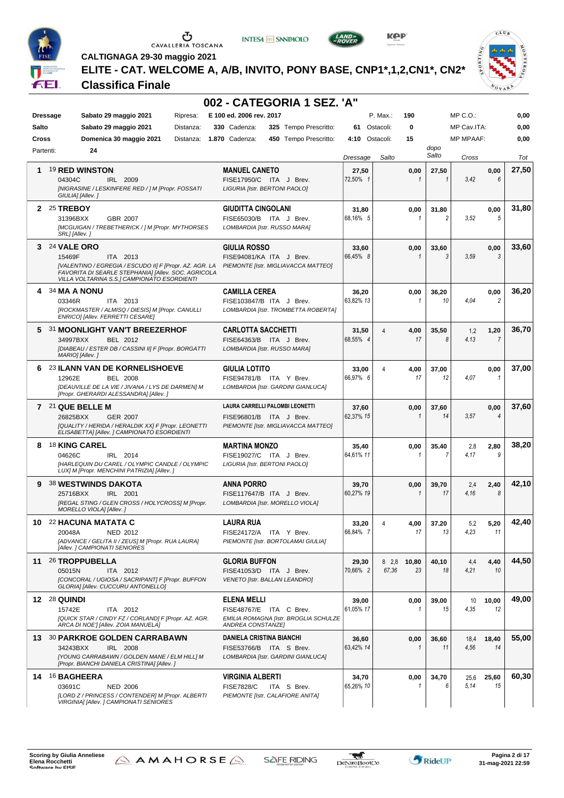

**INTESA** M SANPAOLO



**KPP** 



**CALTIGNAGA 29-30 maggio 2021**

**ELITE - CAT. WELCOME A, A/B, INVITO, PONY BASE, CNP1\*,1,2,CN1\*, CN2\***

#### **Classifica Finale**

|           |                                                                                                                                                                                                      | 002 - CATEGORIA 1 SEZ. 'A"                                                                                  |                    |                |                      |               |                  |                        |       |
|-----------|------------------------------------------------------------------------------------------------------------------------------------------------------------------------------------------------------|-------------------------------------------------------------------------------------------------------------|--------------------|----------------|----------------------|---------------|------------------|------------------------|-------|
|           | Sabato 29 maggio 2021<br>Ripresa:<br><b>Dressage</b>                                                                                                                                                 | E 100 ed. 2006 rev. 2017                                                                                    |                    | P. Max.:       | 190                  |               | MP C.O.:         |                        | 0,00  |
| Salto     | Sabato 29 maggio 2021<br>Distanza:                                                                                                                                                                   | 330 Cadenza:<br>325 Tempo Prescritto:                                                                       | 61 Ostacoli:       |                | 0                    |               | MP Cav.ITA:      |                        | 0,00  |
| Cross     | Domenica 30 maggio 2021<br>Distanza:                                                                                                                                                                 | 1.870 Cadenza:<br>450 Tempo Prescritto:                                                                     | 4:10               | Ostacoli:      | 15                   |               | <b>MP MPAAF:</b> |                        | 0,00  |
| Partenti: | 24                                                                                                                                                                                                   |                                                                                                             | Dressage           | Salto          |                      | dopo<br>Salto | Cross            |                        | Tot   |
| 1.        | <b>19 RED WINSTON</b><br>04304C<br>IRL 2009<br>[NIGRASINE / LESKINFERE RED / ] M [Propr. FOSSATI<br>GIULIA] [Allev.]                                                                                 | <b>MANUEL CANETO</b><br>FISE17950/C ITA J Brev.<br><b>LIGURIA [Istr. BERTONI PAOLO]</b>                     | 27,50<br>72,50% 1  |                | 0,00                 | 27,50         | 3,42             | 0,00<br>6              | 27,50 |
|           | 2 25 TREBOY<br>31396BXX<br>GBR 2007<br>[MCGUIGAN / TREBETHERICK / ] M [Propr. MYTHORSES<br>SRL] [Allev.]                                                                                             | <b>GIUDITTA CINGOLANI</b><br>FISE65030/B ITA J Brev.<br>LOMBARDIA [Istr. RUSSO MARA]                        | 31,80<br>68,16% 5  |                | 0,00<br>1            | 31,80<br>2    | 3.52             | 0,00<br>5              | 31,80 |
|           | 3 24 VALE ORO<br>15469F<br>ITA 2013<br>[VALENTINO / EGREGIA / ESCUDO II] F [Propr. AZ. AGR. LA<br>FAVORITA DI SEARLE STEPHANIA] [Allev. SOC. AGRICOLA<br>VILLA VOLTARINA S.S.] CAMPIONATO ESORDIENTI | <b>GIULIA ROSSO</b><br>FISE94081/KA ITA J Brev.<br>PIEMONTE [Istr. MIGLIAVACCA MATTEO]                      | 33,60<br>66,45% 8  |                | 0,00<br>1            | 33,60<br>3    | 3.59             | 0,00<br>3              | 33,60 |
|           | 4 34 MA A NONU<br>ITA 2013<br>03346R<br>[ROCKMASTER / ALMISQ / DIESIS] M [Propr. CANULLI<br>ENRICOI [Allev. FERRETTI CESARE]                                                                         | <b>CAMILLA CEREA</b><br>FISE103847/B ITA J Brev.<br>LOMBARDIA [Istr. TROMBETTA ROBERTA]                     | 36,20<br>63,82% 13 |                | 0,00                 | 36,20<br>10   | 4.04             | 0,00<br>$\overline{2}$ | 36,20 |
|           | 5 31 MOONLIGHT VAN'T BREEZERHOF<br>34997BXX<br>BEL 2012<br>[DIABEAU / ESTER DB / CASSINI II] F [Propr. BORGATTI<br>MARIO] [Allev.]                                                                   | <b>CARLOTTA SACCHETTI</b><br>FISE64363/B ITA J Brev.<br>LOMBARDIA [Istr. RUSSO MARA]                        | 31,50<br>68,55% 4  | 4              | 4,00<br>17           | 35,50<br>8    | 1,2<br>4,13      | 1,20<br>7              | 36,70 |
| 6.        | 23 ILANN VAN DE KORNELISHOEVE<br>12962E<br><b>BEL 2008</b><br>[DEAUVILLE DE LA VIE / JIVANA / LYS DE DARMEN] M<br>[Propr. GHERARDI ALESSANDRA] [Allev.]                                              | <b>GIULIA LOTITO</b><br>FISE94781/B ITA Y Brev.<br>LOMBARDIA [Istr. GARDINI GIANLUCA]                       | 33,00<br>66,97% 6  | 4              | 4,00<br>17           | 37,00<br>12   | 4.07             | 0,00<br>$\mathbf{1}$   | 37,00 |
|           | 7 21 QUE BELLE M<br>26825BXX<br><b>GER 2007</b><br>[QUALITY / HERIDA / HERALDIK XX] F [Propr. LEONETTI<br>ELISABETTA] [Allev. ] CAMPIONATO ESORDIENTI                                                | LAURA CARRELLI PALOMBI LEONETTI<br>FISE96801/B ITA J Brev.<br>PIEMONTE [Istr. MIGLIAVACCA MATTEO]           | 37,60<br>62,37% 15 |                | 0,00<br>$\mathbf{1}$ | 37,60<br>14   | 3.57             | 0,00<br>$\overline{4}$ | 37,60 |
| 8         | <b>18 KING CAREL</b><br>04626C<br>IRL 2014<br>[HARLEQUIN DU CAREL / OLYMPIC CANDLE / OLYMPIC<br>LUX] M [Propr. MENCHINI PATRIZIA] [Allev. ]                                                          | <b>MARTINA MONZO</b><br>FISE19027/C ITA J Brev.<br>LIGURIA [Istr. BERTONI PAOLO]                            | 35,40<br>64,61% 11 |                | 0,00<br>1            | 35,40         | 2,8<br>4.17      | 2,80<br>g              | 38,20 |
| 9         | <b>38 WESTWINDS DAKOTA</b><br>25716BXX<br>IRL 2001<br>[REGAL STING / GLEN CROSS / HOLYCROSS] M [Propr.<br>MORELLO VIOLA] [Allev.]                                                                    | <b>ANNA PORRO</b><br>FISE117647/B ITA J Brev.<br>LOMBARDIA [Istr. MORELLO VIOLA]                            | 39,70<br>60,27% 19 |                | 0,00<br>$\mathbf{1}$ | 39,70<br>17   | 2,4<br>4,16      | 2,40<br>8              | 42,10 |
| 10        | 22 HACUNA MATATA C<br>20048A<br>NED 2012<br>[ADVANCE / GELITA II / ZEUS] M [Propr. RUA LAURA]<br>[Allev. ] CAMPIONATI SENIORES                                                                       | <b>LAURA RUA</b><br>FISE24172/A ITA Y Brev.<br>PIEMONTE [Istr. BORTOLAMAI GIULIA]                           | 33,20<br>66.84% 7  | 4              | 4,00<br>17           | 37,20<br>13   | 5,2<br>4.23      | 5,20<br>11             | 42,40 |
|           | 11 26 TROPPUBELLA<br>05015N<br>ITA 2012<br>[CONCORAL / UGIOSA / SACRIPANT] F [Propr. BUFFON<br>GLORIA] [Allev. CUCCURU ANTONELLO]                                                                    | <b>GLORIA BUFFON</b><br>FISE41053/D ITA J Brev.<br>VENETO [Istr. BALLAN LEANDRO]                            | 29,30<br>70,66% 2  | 8 2,8<br>67,36 | 10,80<br>23          | 40,10<br>18   | 4,4<br>4,21      | 4,40<br>10             | 44,50 |
|           | <b>12 28 QUINDI</b><br>15742E<br>ITA 2012<br>[QUICK STAR / CINDY FZ / CORLAND] F [Propr. AZ. AGR.<br>ARCA DI NOE'] [Allev. ZOIA MANUELA]                                                             | <b>ELENA MELLI</b><br>FISE48767/E ITA C Brev.<br>EMILIA ROMAGNA [Istr. BROGLIA SCHULZE<br>ANDREA CONSTANZE] | 39,00<br>61,05% 17 |                | 0,00<br>1            | 39,00<br>15   | 10<br>4,35       | 10,00<br>12            | 49,00 |
|           | 13 30 PARKROE GOLDEN CARRABAWN<br>IRL 2008<br>34243BXX<br>[YOUNG CARRABAWN / GOLDEN MANE / ELM HILL] M<br>[Propr. BIANCHI DANIELA CRISTINA] [Allev.]                                                 | <b>DANIELA CRISTINA BIANCHI</b><br>FISE53766/B ITA S Brev.<br>LOMBARDIA [Istr. GARDINI GIANLUCA]            | 36,60<br>63,42% 14 |                | 0,00<br>1            | 36,60<br>11   | 18,4<br>4,56     | 18,40<br>14            | 55,00 |
|           | 14 16 BAGHEERA<br>03691C<br><b>NED 2006</b><br>[LORD Z / PRINCESS / CONTENDER] M [Propr. ALBERTI<br>VIRGINIA] [Allev. ] CAMPIONATI SENIORES                                                          | <b>VIRGINIA ALBERTI</b><br><b>FISE7828/C</b><br>ITA S Brev.<br>PIEMONTE [Istr. CALAFIORE ANITA]             | 34,70<br>65,26% 10 |                | 0,00<br>-1           | 34,70<br>6    | 25,6<br>5.14     | 25,60<br>15            | 60,30 |

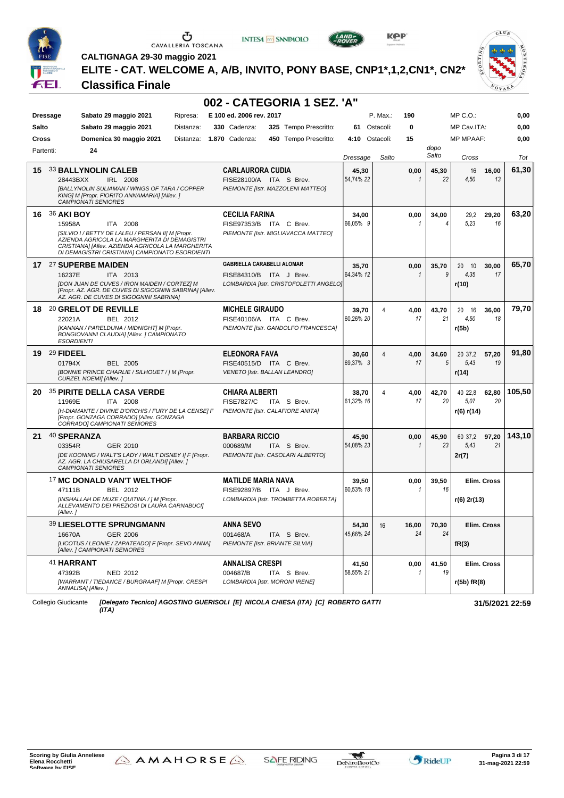

# $\begin{array}{c}\n\bullet \\
\bullet \\
\bullet \\
\bullet \\
\bullet\n\end{array}$  CAVALLERIA TOSCANA

**INTESA** M SANPAOLO



**KPP** 



**CALTIGNAGA 29-30 maggio 2021**

**ELITE - CAT. WELCOME A, A/B, INVITO, PONY BASE, CNP1\*,1,2,CN1\*, CN2\***

#### **Classifica Finale**

|                 |                                 |                                                                                                                                                                                                          |           |                                   | 002 - CATEGORIA 1 SEZ. 'A"             |           |              |              |               |                  |             |                 |
|-----------------|---------------------------------|----------------------------------------------------------------------------------------------------------------------------------------------------------------------------------------------------------|-----------|-----------------------------------|----------------------------------------|-----------|--------------|--------------|---------------|------------------|-------------|-----------------|
| <b>Dressage</b> |                                 | Sabato 29 maggio 2021                                                                                                                                                                                    | Ripresa:  | E 100 ed. 2006 rev. 2017          |                                        |           | P. Max.:     | 190          |               | $MP C. O.$ :     |             | 0,00            |
| Salto           |                                 | Sabato 29 maggio 2021                                                                                                                                                                                    | Distanza: | 330 Cadenza:                      | 325 Tempo Prescritto:                  |           | 61 Ostacoli: | 0            |               | MP Cav.ITA:      |             | 0,00            |
| <b>Cross</b>    |                                 | Domenica 30 maggio 2021                                                                                                                                                                                  | Distanza: | <b>1.870 Cadenza:</b>             | 450 Tempo Prescritto:                  | 4:10      | Ostacoli:    | 15           |               | <b>MP MPAAF:</b> |             | 0,00            |
| Partenti:       | 24                              |                                                                                                                                                                                                          |           |                                   |                                        | Dressage  | Salto        |              | dopo<br>Salto | Cross            |             | Tot             |
| 15              | <b>33 BALLYNOLIN CALEB</b>      |                                                                                                                                                                                                          |           | <b>CARLAURORA CUDIA</b>           |                                        | 45,30     |              | 0,00         | 45,30         | 16               | 16,00       | 61,30           |
|                 | 28443BXX                        | IRL 2008                                                                                                                                                                                                 |           | FISE28100/A ITA S Brev.           |                                        | 54,74% 22 |              |              | 22            | 4,50             | 13          |                 |
|                 | <b>CAMPIONATI SENIORES</b>      | [BALLYNOLIN SULIAMAN / WINGS OF TARA / COPPER<br>KING] M [Propr. FIORITO ANNAMARIA] [Allev.]                                                                                                             |           |                                   | PIEMONTE [Istr. MAZZOLENI MATTEO]      |           |              |              |               |                  |             |                 |
|                 | 16 36 AKI BOY                   |                                                                                                                                                                                                          |           | <b>CECILIA FARINA</b>             |                                        | 34,00     |              | 0,00         | 34,00         | 29,2             | 29,20       | 63,20           |
|                 | 15958A                          | ITA 2008                                                                                                                                                                                                 |           | FISE97353/B ITA C Brev.           |                                        | 66,05% 9  |              | 1            | 4             | 5.23             | 16          |                 |
|                 |                                 | [SILVIO I / BETTY DE LALEU / PERSAN II] M [Propr.<br>AZIENDA AGRICOLA LA MARGHERITA DI DEMAGISTRI<br>CRISTIANA] [Allev. AZIENDA AGRICOLA LA MARGHERITA<br>DI DEMAGISTRI CRISTIANA] CAMPIONATO ESORDIENTI |           |                                   | PIEMONTE [Istr. MIGLIAVACCA MATTEO]    |           |              |              |               |                  |             |                 |
|                 | 17 <sup>27</sup> SUPERBE MAIDEN |                                                                                                                                                                                                          |           | <b>GABRIELLA CARABELLI ALOMAR</b> |                                        | 35,70     |              | 0,00         | 35,70         | 20 10            | 30,00       | 65,70           |
|                 | 16237E                          | ITA 2013                                                                                                                                                                                                 |           | FISE84310/B ITA J Brev.           |                                        | 64,34% 12 |              | $\mathbf{1}$ | 9             | 4.35             | 17          |                 |
|                 |                                 | [DON JUAN DE CUVES / IRON MAIDEN / CORTEZ] M<br>[Propr. AZ. AGR. DE CUVES DI SIGOGNINI SABRINA] [Allev.<br>AZ. AGR. DE CUVES DI SIGOGNINI SABRINA]                                                       |           |                                   | LOMBARDIA [Istr. CRISTOFOLETTI ANGELO] |           |              |              |               | r(10)            |             |                 |
|                 | 18 20 GRELOT DE REVILLE         |                                                                                                                                                                                                          |           | <b>MICHELE GIRAUDO</b>            |                                        | 39,70     | 4            | 4,00         | 43,70         | 20 16            | 36,00       | 79,70           |
|                 | 22021A                          | BEL 2012                                                                                                                                                                                                 |           | FISE40106/A ITA C Brev.           |                                        | 60,26% 20 |              | 17           | 21            | 4,50             | 18          |                 |
|                 | <b>ESORDIENTI</b>               | [KANNAN / PARELDUNA / MIDNIGHT] M [Propr.<br>BONGIOVANNI CLAUDIA] [Allev. ] CAMPIONATO                                                                                                                   |           |                                   | PIEMONTE [Istr. GANDOLFO FRANCESCA]    |           |              |              |               | r(5b)            |             |                 |
|                 | 19 29 FIDEEL                    |                                                                                                                                                                                                          |           | <b>ELEONORA FAVA</b>              |                                        | 30,60     | 4            | 4,00         | 34,60         | 20 37,2          | 57,20       | 91,80           |
|                 | 01794X                          | <b>BEL 2005</b>                                                                                                                                                                                          |           | FISE40515/D ITA C Brev.           |                                        | 69,37% 3  |              | 17           | 5             | 5,43             | 19          |                 |
|                 | CURZEL NOEMI] [Allev.]          | [BONNIE PRINCE CHARLIE / SILHOUET / ] M [Propr.                                                                                                                                                          |           | VENETO [Istr. BALLAN LEANDRO]     |                                        |           |              |              |               | r(14)            |             |                 |
| 20.             |                                 | <b>35 PIRITE DELLA CASA VERDE</b>                                                                                                                                                                        |           | <b>CHIARA ALBERTI</b>             |                                        | 38,70     | 4            | 4,00         | 42,70         | 40 22,8          | 62,80       | 105,50          |
|                 | 11969E                          | ITA 2008                                                                                                                                                                                                 |           | <b>FISE7827/C</b>                 | ITA S Brev.                            | 61,32% 16 |              | 17           | 20            | 5.07             | 20          |                 |
|                 |                                 | [H-DIAMANTE / DIVINE D'ORCHIS / FURY DE LA CENSE] F<br>[Propr. GONZAGA CORRADO] [Allev. GONZAGA<br>CORRADO] CAMPIONATI SENIORES                                                                          |           | PIEMONTE [Istr. CALAFIORE ANITA]  |                                        |           |              |              |               | r(6) r(14)       |             |                 |
| 21              | 40 SPERANZA                     |                                                                                                                                                                                                          |           | <b>BARBARA RICCIO</b>             |                                        | 45,90     |              | 0,00         | 45,90         | 60 37,2          | 97,20       | 143,10          |
|                 | 03354R                          | GER 2010                                                                                                                                                                                                 |           | 000689/M                          | ITA S Brev.                            | 54,08% 23 |              | $\mathbf{1}$ | 23            | 5,43             | 21          |                 |
|                 | <b>CAMPIONATI SENIORES</b>      | [DE KOONING / WALT'S LADY / WALT DISNEY I] F [Propr.<br>AZ. AGR. LA CHIUSARELLA DI ORLANDI] [Allev. ]                                                                                                    |           |                                   | PIEMONTE [Istr. CASOLARI ALBERTO]      |           |              |              |               | 2r(7)            |             |                 |
|                 |                                 | <sup>17</sup> MC DONALD VAN'T WELTHOF                                                                                                                                                                    |           | <b>MATILDE MARIA NAVA</b>         |                                        | 39,50     |              | 0,00         | 39,50         |                  | Elim. Cross |                 |
|                 | 47111B                          | BEL 2012                                                                                                                                                                                                 |           | FISE92897/B ITA J Brev.           |                                        | 60,53% 18 |              | 1            | 16            |                  |             |                 |
|                 | [Allev.]                        | [INSHALLAH DE MUZE / QUITINA / ] M [Propr.<br>ALLEVAMENTO DEI PREZIOSI DI LAURA CARNABUCI)                                                                                                               |           |                                   | LOMBARDIA [Istr. TROMBETTA ROBERTA]    |           |              |              |               | r(6) 2r(13)      |             |                 |
|                 |                                 | <b>39 LIESELOTTE SPRUNGMANN</b>                                                                                                                                                                          |           | <b>ANNA SEVO</b>                  |                                        | 54,30     | 16           | 16,00        | 70,30         |                  | Elim. Cross |                 |
|                 | 16670A                          | GER 2006                                                                                                                                                                                                 |           | 001468/A                          | ITA S Brev.                            | 45,66% 24 |              | 24           | 24            |                  |             |                 |
|                 |                                 | [LICOTUS / LEONIE / ZAPATEADO] F [Propr. SEVO ANNA]<br>[Allev. ] CAMPIONATI SENIORES                                                                                                                     |           | PIEMONTE [Istr. BRIANTE SILVIA]   |                                        |           |              |              |               | fR(3)            |             |                 |
|                 | 41 HARRANT                      |                                                                                                                                                                                                          |           | <b>ANNALISA CRESPI</b>            |                                        | 41,50     |              | 0,00         | 41,50         |                  | Elim. Cross |                 |
|                 | 47392B                          | NED 2012                                                                                                                                                                                                 |           | 004687/B                          | ITA S Brev.                            | 58,55% 21 |              |              | 19            |                  |             |                 |
|                 | ANNALISA] [Allev.]              | [WARRANT / TIEDANCE / BURGRAAF] M [Propr. CRESPI                                                                                                                                                         |           | LOMBARDIA [Istr. MORONI IRENE]    |                                        |           |              |              |               | r(5b) fR(8)      |             |                 |
|                 | Collegio Giudicante             | [Delegato Tecnico] AGOSTINO GUERISOLI [E] NICOLA CHIESA (ITA) [C] ROBERTO GATTI<br>(ITA)                                                                                                                 |           |                                   |                                        |           |              |              |               |                  |             | 31/5/2021 22:59 |



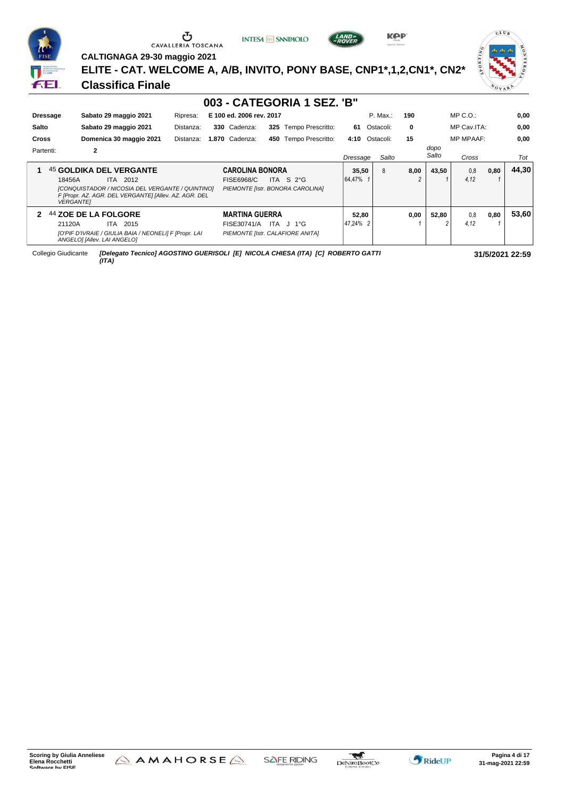| <b>FISE</b>                                                                                  |
|----------------------------------------------------------------------------------------------|
| EEDERAZIONE<br><b>ITALIA</b><br>SPORTIVA NAZIONALE<br><b>RICONOSCIUTA</b><br><b>DAL CONI</b> |
|                                                                                              |

**CALTIGNAGA 29-30 maggio 2021**

**INTESA** M SANPAOLO



**KPP** 



**ELITE - CAT. WELCOME A, A/B, INVITO, PONY BASE, CNP1\*,1,2,CN1\*, CN2\***

#### **Classifica Finale**

| 003 - CATEGORIA 1 SEZ. 'B" |                                                                                  |                                                                                                           |           |  |                        |     |                                  |          |           |       |          |               |                  |      |       |
|----------------------------|----------------------------------------------------------------------------------|-----------------------------------------------------------------------------------------------------------|-----------|--|------------------------|-----|----------------------------------|----------|-----------|-------|----------|---------------|------------------|------|-------|
|                            | E 100 ed. 2006 rev. 2017<br>Sabato 29 maggio 2021<br><b>Dressage</b><br>Ripresa: |                                                                                                           |           |  |                        |     |                                  |          | P. Max.:  |       | 190      |               | $MP C. O.$ :     |      | 0,00  |
| Salto                      |                                                                                  | Sabato 29 maggio 2021                                                                                     | Distanza: |  | 330 Cadenza:           |     | 325 Tempo Prescritto:            | 61       | Ostacoli: |       | 0        |               | MP Cav.ITA:      |      | 0,00  |
| <b>Cross</b>               |                                                                                  | Domenica 30 maggio 2021                                                                                   | Distanza: |  | 1.870 Cadenza:         | 450 | Tempo Prescritto:                | 4:10     | Ostacoli: |       | 15       |               | <b>MP MPAAF:</b> |      | 0.00  |
| Partenti:                  |                                                                                  | 2                                                                                                         |           |  |                        |     |                                  | Dressage |           | Salto |          | dopo<br>Salto | Cross            |      | Tot   |
|                            |                                                                                  | 45 GOLDIKA DEL VERGANTE                                                                                   |           |  | <b>CAROLINA BONORA</b> |     |                                  | 35,50    | 8         |       | 8,00     | 43.50         | 0.8              | 0,80 | 44.30 |
|                            | 18456A                                                                           | ITA 2012                                                                                                  |           |  | FISE6968/C             |     | ITA S $2^{\circ}$ G              | 64,47%   |           |       | $\Omega$ |               | 4.12             |      |       |
|                            | <b>VERGANTEI</b>                                                                 | [CONQUISTADOR / NICOSIA DEL VERGANTE / QUINTINO]<br>F [Propr. AZ. AGR. DEL VERGANTE] [Allev. AZ. AGR. DEL |           |  |                        |     | PIEMONTE [Istr. BONORA CAROLINA] |          |           |       |          |               |                  |      |       |
| 2                          |                                                                                  | 44 ZOE DE LA FOLGORE                                                                                      |           |  | <b>MARTINA GUERRA</b>  |     |                                  | 52,80    |           |       | 0,00     | 52.80         | 0.8              | 0,80 | 53.60 |
|                            | 21120A                                                                           | 2015<br>ITA.                                                                                              |           |  | FISE30741/A            | ITA | J 1°G                            | 47.24% 2 |           |       |          | 2             | 4.12             |      |       |
|                            |                                                                                  | [O'PIF D'IVRAIE / GIULIA BAIA / NEONELI] F [Propr. LAI<br>ANGELO] [Allev. LAI ANGELO]                     |           |  |                        |     | PIEMONTE [Istr. CALAFIORE ANITA] |          |           |       |          |               |                  |      |       |

Collegio Giudicante *[Delegato Tecnico] AGOSTINO GUERISOLI [E] NICOLA CHIESA (ITA) [C] ROBERTO GATTI (ITA)*



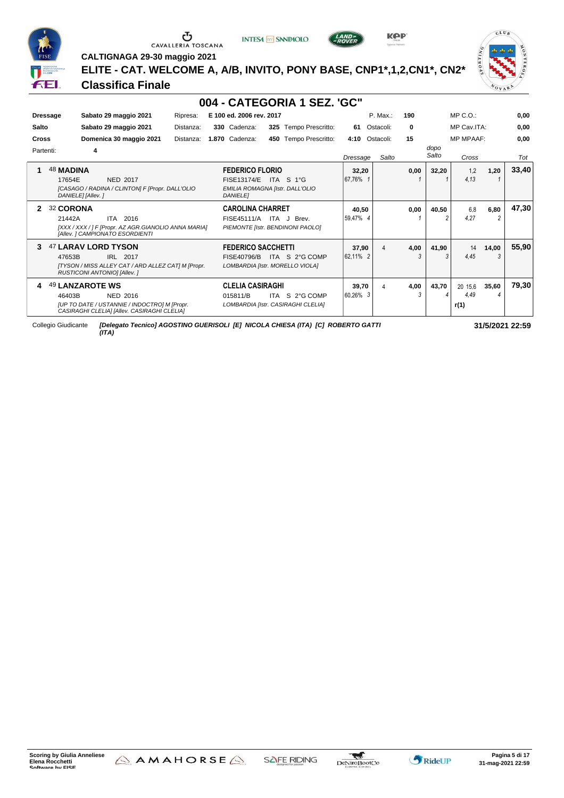

# $\begin{array}{c}\n\bullet \\
\bullet \\
\bullet \\
\bullet \\
\bullet\n\end{array}$  CAVALLERIA TOSCANA

**INTESA** M SANPAOLO



**KPP** 

 $CLU_B$  $ORTING$ VOVAL

**CALTIGNAGA 29-30 maggio 2021 ELITE - CAT. WELCOME A, A/B, INVITO, PONY BASE, CNP1\*,1,2,CN1\*, CN2\***

#### **Classifica Finale**

|                            |                                                                                                                                   |           |                                                          | 004 - CATEGORIA 1 SEZ. 'GC"                          |                   |           |           |               |                         |            |       |
|----------------------------|-----------------------------------------------------------------------------------------------------------------------------------|-----------|----------------------------------------------------------|------------------------------------------------------|-------------------|-----------|-----------|---------------|-------------------------|------------|-------|
| <b>Dressage</b>            | Sabato 29 maggio 2021                                                                                                             | Ripresa:  | E 100 ed. 2006 rev. 2017                                 |                                                      |                   | P. Max.:  | 190       |               | MP C. O.                |            | 0.00  |
| Salto                      | Sabato 29 maggio 2021                                                                                                             | Distanza: | 330 Cadenza:                                             | 325 Tempo Prescritto:                                | 61                | Ostacoli: | 0         | MP Cav.ITA:   |                         |            | 0.00  |
| <b>Cross</b>               | Domenica 30 maggio 2021<br>Distanza:                                                                                              |           |                                                          | Tempo Prescritto:<br>450                             | 4:10              | Ostacoli: | 15        |               | <b>MP MPAAF:</b>        |            | 0.00  |
| Partenti:                  | 4                                                                                                                                 |           |                                                          |                                                      | Dressage          | Salto     |           | dopo<br>Salto | Cross                   |            | Tot   |
| <b>48 MADINA</b><br>17654E | <b>NED 2017</b><br>[CASAGO / RADINA / CLINTON] F [Propr. DALL'OLIO<br>DANIELE] [Allev. ]                                          |           | <b>FEDERICO FLORIO</b><br>FISE13174/E<br><b>DANIELEI</b> | ITA<br>S 1°G<br>EMILIA ROMAGNA [Istr. DALL'OLIO      | 32,20<br>167.76%  |           | 0,00      | 32.20         | 1.2<br>4.13             | 1,20       | 33,40 |
| 32 CORONA<br>2<br>21442A   | ITA 2016<br>[XXX / XXX / ] F [Propr. AZ AGR.GIANOLIO ANNA MARIA]<br>[Allev. ] CAMPIONATO ESORDIENTI                               |           | <b>CAROLINA CHARRET</b><br>FISE45111/A                   | ITA J Brev.<br>PIEMONTE [Istr. BENDINONI PAOLO]      | 40,50<br>59.47% 4 |           | 0,00      | 40,50         | 6.8<br>4.27             | 6,80       | 47,30 |
| 3<br>47653B                | 47 LARAV LORD TYSON<br>IRL 2017<br>ITYSON / MISS ALLEY CAT / ARD ALLEZ CAT] M [Propr.<br><b>RUSTICONI ANTONIOI [Allev.]</b>       |           | <b>FEDERICO SACCHETTI</b><br>FISE40796/B                 | ITA S 2°G COMP<br>LOMBARDIA [Istr. MORELLO VIOLA]    | 37,90<br>62.11% 2 | 4         | 4,00<br>3 | 41,90         | 14<br>4.45              | 14,00<br>3 | 55,90 |
| 4<br>46403B                | 49 LANZAROTE WS<br>NED 2016<br><b>IUP TO DATE / USTANNIE / INDOCTROI M IPropr.</b><br>CASIRAGHI CLELIA] [Allev. CASIRAGHI CLELIA] |           | <b>CLELIA CASIRAGHI</b><br>015811/B                      | ITA S 2°G COMP<br>LOMBARDIA [Istr. CASIRAGHI CLELIA] | 39.70<br>60.26% 3 | 4         | 4,00<br>3 | 43.70         | 20 15.6<br>4.49<br>r(1) | 35.60      | 79.30 |

Collegio Giudicante *[Delegato Tecnico] AGOSTINO GUERISOLI [E] NICOLA CHIESA (ITA) [C] ROBERTO GATTI (ITA)*



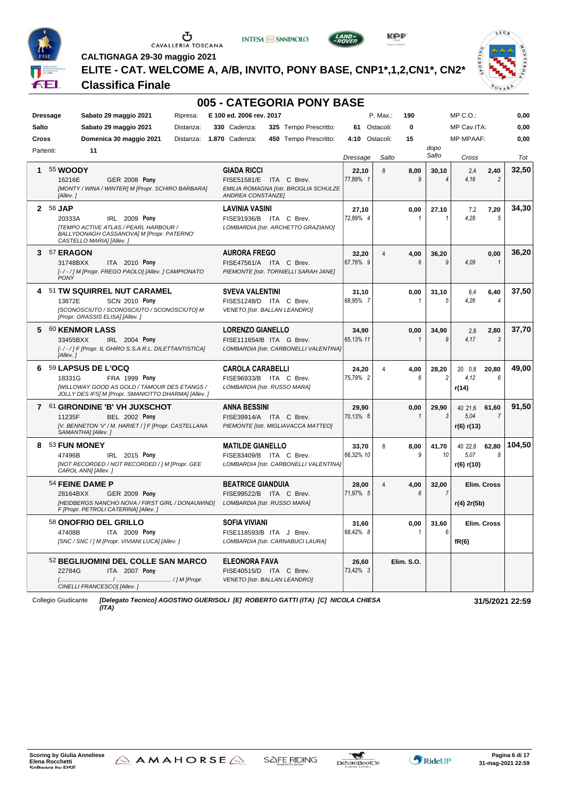

# $\begin{array}{c}\n\bullet \\
\bullet \\
\bullet \\
\bullet\n\end{array}$  CAVALLERIA TOSCANA





**CALTIGNAGA 29-30 maggio 2021**

**ELITE - CAT. WELCOME A, A/B, INVITO, PONY BASE, CNP1\*,1,2,CN1\*, CN2\***

#### **Classifica Finale**



|           |                                                                                                                                                                       | 005 - CATEGORIA PONY BASE                                                                     |                    |                 |                         |                                                          |        |
|-----------|-----------------------------------------------------------------------------------------------------------------------------------------------------------------------|-----------------------------------------------------------------------------------------------|--------------------|-----------------|-------------------------|----------------------------------------------------------|--------|
|           | Sabato 29 maggio 2021<br>Ripresa:<br><b>Dressage</b>                                                                                                                  | E 100 ed. 2006 rev. 2017                                                                      |                    | P. Max.:<br>190 |                         | MP C.O.:                                                 | 0,00   |
| Salto     | Sabato 29 maggio 2021<br>Distanza:                                                                                                                                    | 325 Tempo Prescritto:<br>330 Cadenza:                                                         | 61 Ostacoli:       | $\bf{0}$        |                         | MP Cav.ITA:                                              | 0,00   |
| Cross     | Domenica 30 maggio 2021<br>Distanza:                                                                                                                                  | 1.870 Cadenza:<br>450 Tempo Prescritto:                                                       | 4:10 Ostacoli:     | 15              |                         | <b>MP MPAAF:</b>                                         | 0,00   |
| Partenti: | 11                                                                                                                                                                    |                                                                                               | Dressage           | Salto           | dopo<br>Salto           | Cross                                                    | Tot    |
| 1         | 55 <b>WOODY</b><br><b>GER 2008 Pony</b><br>16216E<br>[MONTY / WINA / WINTER] M [Propr. SCHIRO BARBARA]                                                                | <b>GIADA RICCI</b><br>FISE51581/E ITA C Brev.<br>EMILIA ROMAGNA [Istr. BROGLIA SCHULZE        | 22,10<br>77,89% 1  | 8<br>8,00<br>9  | 30,10<br>4              | 2,4<br>2,40<br>4.16<br>$\overline{2}$                    | 32,50  |
|           | [Allev.]                                                                                                                                                              | ANDREA CONSTANZE]                                                                             |                    |                 |                         |                                                          |        |
|           | 2 56 JAP<br>IRL 2009 Pony<br>20333A<br><b>ITEMPO ACTIVE ATLAS / PEARL HARBOUR /</b><br>BALLYDONAGH CASSANOVA] M [Propr. PATERNO'<br>CASTELLO MARIA] [Allev.]          | LAVINIA VASINI<br>FISE91936/B ITA C Brev.<br>LOMBARDIA [Istr. ARCHETTO GRAZIANO]              | 27,10<br>72,89% 4  | 0,00<br>1       | 27,10<br>$\mathbf{1}$   | 7,20<br>7,2<br>4,28<br>5                                 | 34.30  |
| 3         | 57 ERAGON<br>31748BXX<br>ITA 2010 Pony<br>[-/-/] M [Propr. FREGO PAOLO] [Allev. ] CAMPIONATO<br><b>PONY</b>                                                           | <b>AURORA FREGO</b><br>FISE47561/A ITA C Brev.<br>PIEMONTE [Istr. TORNIELLI SARAH JANE]       | 32,20<br>67.76% 9  | 4,00<br>Δ<br>6  | 36,20<br>9              | 0,00<br>4.09<br>$\mathbf{1}$                             | 36,20  |
|           | 4 51 TW SQUIRREL NUT CARAMEL<br>13872E<br><b>SCN 2010 Pony</b><br>[SCONOSCIUTO / SCONOSCIUTO / SCONOSCIUTO] M<br>[Propr. GRASSIS ELISA] [Allev.]                      | <b>SVEVA VALENTINI</b><br>FISE51248/D ITA C Brev.<br>VENETO [Istr. BALLAN LEANDRO]            | 31,10<br>68.95% 7  | 0,00<br>1       | 31,10<br>5              | 6,4<br>6,40<br>4.26<br>$\overline{4}$                    | 37,50  |
|           | 5 60 KENMOR LASS<br>IRL 2004 Pony<br>33455BXX<br>[-/-/] F [Propr. IL GHIRO S.S.A.R.L. DILETTANTISTICA]<br>[Allev.]                                                    | <b>LORENZO GIANELLO</b><br>FISE111654/B ITA G Brev.<br>LOMBARDIA [Istr. CARBONELLI VALENTINA] | 34,90<br>65,13% 11 | 0,00            | 34,90<br>8              | 2,80<br>2,8<br>4.17<br>3                                 | 37,70  |
|           | 6 59 LAPSUS DE L'OCQ<br>18331G<br><b>FRA 1999 Pony</b><br><b>IWILLOWAY GOOD AS GOLD / TAMOUR DES ETANGS /</b><br>JOLLY DES IFS] M [Propr. SMANIOTTO DHARMA] [Allev. ] | <b>CAROLA CARABELLI</b><br>FISE96933/B ITA C Brev.<br>LOMBARDIA [Istr. RUSSO MARA]            | 24,20<br>75.79% 2  | 4,00<br>Δ<br>6  | 28.20<br>$\overline{2}$ | 20 0.8<br>20,80<br>4.12<br>6<br>r(14)                    | 49,00  |
|           | 7 61 GIRONDINE 'B' VH JUXSCHOT<br>11235F<br><b>BEL 2002 Pony</b><br>[V. BENNETON 'V' / M. HARIET / ] F [Propr. CASTELLANA<br>SAMANTHA] [Allev.]                       | <b>ANNA BESSINI</b><br>FISE39914/A ITA C Brev.<br>PIEMONTE [Istr. MIGLIAVACCA MATTEO]         | 29,90<br>70.13% 6  | 0,00<br>1       | 29,90<br>3              | 40 21,6<br>61,60<br>5.04<br>$\overline{7}$<br>r(6) r(13) | 91,50  |
| 8         | 53 FUN MONEY<br>47496B<br>IRL 2015 Pony<br>INOT RECORDED / NOT RECORDED / ] M [Propr. GEE<br>CAROL ANN] [Allev.]                                                      | <b>MATILDE GIANELLO</b><br>FISE83409/B ITA C Brev.<br>LOMBARDIA [Istr. CARBONELLI VALENTINA]  | 33,70<br>66,32% 10 | 8<br>8,00<br>9  | 41,70<br>10             | 40 22.8<br>62,80<br>8<br>5.07<br>r(6) r(10)              | 104,50 |
|           | 54 FEINE DAME P<br>28164BXX<br><b>GER 2009 Pony</b><br>[HEIDBERGS NANCHO NOVA / FIRST GIRL / DONAUWIND]<br>F [Propr. PETROLI CATERINA] [Allev.]                       | <b>BEATRICE GIANDUIA</b><br>FISE99522/B ITA C Brev.<br>LOMBARDIA [Istr. RUSSO MARA]           | 28,00<br>71,97% 5  | 4<br>4,00<br>6  | 32,00<br>$\overline{7}$ | Elim. Cross<br>r(4) 2r(5b)                               |        |
|           | 58 ONOFRIO DEL GRILLO<br>47408B<br>ITA 2009 Pony<br>[SNC / SNC / ] M [Propr. VIVIANI LUCA] [Allev. ]                                                                  | SOFIA VIVIANI<br>FISE118593/B ITA J Brev.<br>LOMBARDIA [Istr. CARNABUCI LAURA]                | 31,60<br>68,42% 8  | 0,00            | 31,60<br>6              | Elim. Cross<br>fR(6)                                     |        |
|           | 52 BEGLIUOMINI DEL COLLE SAN MARCO<br>22784G<br>ITA 2007 Pony<br>CINELLI FRANCESCO] [Allev.]                                                                          | ELEONORA FAVA<br>FISE40515/D ITA C Brev.<br>VENETO [Istr. BALLAN LEANDRO]                     | 26,60<br>73,42% 3  | Elim. S.O.      |                         |                                                          |        |
|           | Collegio Giudicante<br>(ITA)                                                                                                                                          | [Delegato Tecnico] AGOSTINO GUERISOLI [E] ROBERTO GATTI (ITA) [C] NICOLA CHIESA               |                    |                 |                         | 31/5/2021 22:59                                          |        |

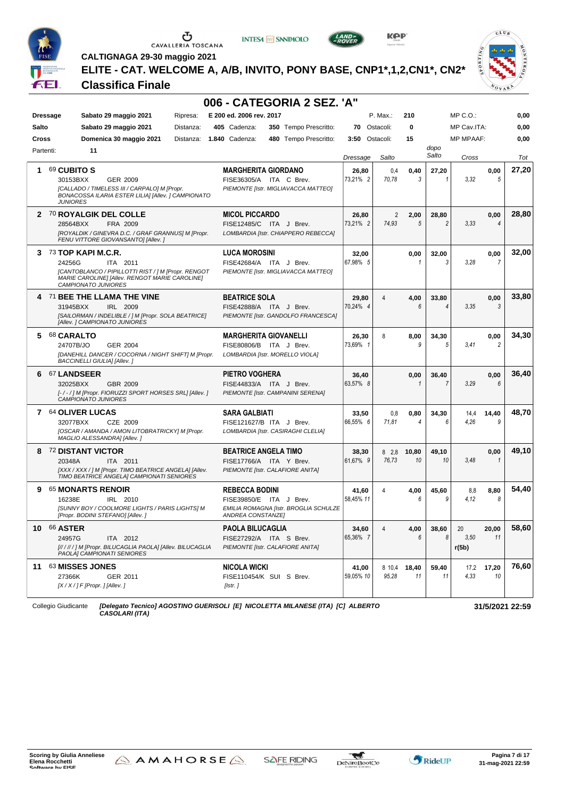

**INTESA** M SANPAOLO



**KPP** 



**CALTIGNAGA 29-30 maggio 2021**

**ELITE - CAT. WELCOME A, A/B, INVITO, PONY BASE, CNP1\*,1,2,CN1\*, CN2\***

#### **Classifica Finale**

|           |                                                                                                                                                    | 006 - CATEGORIA 2 SEZ. 'A"                                                                   |                    |                 |                |               |                     |                |       |
|-----------|----------------------------------------------------------------------------------------------------------------------------------------------------|----------------------------------------------------------------------------------------------|--------------------|-----------------|----------------|---------------|---------------------|----------------|-------|
|           | Sabato 29 maggio 2021<br><b>Dressage</b><br>Ripresa:                                                                                               | E 200 ed. 2006 rev. 2017                                                                     |                    | P. Max.:        | 210            |               | $MP C. O.$ :        |                | 0,00  |
| Salto     | Sabato 29 maggio 2021<br>Distanza:                                                                                                                 | 405 Cadenza:<br>350 Tempo Prescritto:                                                        | 70 Ostacoli:       |                 | 0              |               | MP Cav.ITA:         |                | 0,00  |
| Cross     | Domenica 30 maggio 2021<br>Distanza:                                                                                                               | <b>1.840 Cadenza:</b><br>480 Tempo Prescritto:                                               | 3:50 Ostacoli:     |                 | 15             |               | <b>MP MPAAF:</b>    |                | 0,00  |
| Partenti: | 11                                                                                                                                                 |                                                                                              | Dressage           | Salto           |                | dopo<br>Salto | Cross               |                | Tot   |
| 1.        | 69 CUBITO S                                                                                                                                        | <b>MARGHERITA GIORDANO</b>                                                                   | 26,80              | 0.4             | 0,40           | 27,20         |                     | 0,00           | 27,20 |
|           | GER 2009<br>30153BXX<br>[CALLADO / TIMELESS III / CARPALO] M [Propr.<br>BONACOSSA ILARIA ESTER LILIA] [Allev. ] CAMPIONATO<br><b>JUNIORES</b>      | FISE36305/A ITA C Brev.<br>PIEMONTE [Istr. MIGLIAVACCA MATTEO]                               | 73.21% 2           | 70.78           | 3              |               | 3.32                | 5              |       |
|           | 2 70 ROYALGIK DEL COLLE                                                                                                                            | <b>MICOL PICCARDO</b>                                                                        | 26,80              | 2               | 2,00           | 28,80         |                     | 0,00           | 28,80 |
|           | FRA 2009<br>28564BXX<br>[ROYALDIK / GINEVRA D.C. / GRAF GRANNUS] M [Propr.<br>FENU VITTORE GIOVANSANTO] [Allev.]                                   | FISE12485/C ITA J Brev.<br>LOMBARDIA [Istr. CHIAPPERO REBECCA]                               | 73,21% 2           | 74.93           | 5              |               | 3,33                | $\overline{4}$ |       |
|           | $373$ TOP KAPI M.C.R.                                                                                                                              | <b>LUCA MOROSINI</b>                                                                         | 32,00              |                 | 0,00           | 32,00         |                     | 0,00           | 32,00 |
|           | 24256G<br>ITA 2011<br>[CANTOBLANCO / PIPILLOTTI RIST / ] M [Propr. RENGOT<br>MARIE CAROLINE] [Allev. RENGOT MARIE CAROLINE]<br>CAMPIONATO JUNIORES | FISE42684/A ITA J Brev.<br>PIEMONTE [Istr. MIGLIAVACCA MATTEO]                               | 67,98% 5           |                 | $\mathbf{1}$   | 3             | 3.28                | 7              |       |
|           | 4 71 BEE THE LLAMA THE VINE                                                                                                                        | <b>BEATRICE SOLA</b>                                                                         | 29,80              | 4               | 4,00           | 33,80         |                     | 0,00           | 33,80 |
|           | IRL 2009<br>31945BXX<br>[SAILORMAN / INDELIBLE / ] M [Propr. SOLA BEATRICE]<br>[Allev. ] CAMPIONATO JUNIORES                                       | FISE42888/A ITA J Brev.<br>PIEMONTE [Istr. GANDOLFO FRANCESCA]                               | 70,24% 4           |                 | ĥ              |               | 3,35                | 3              |       |
|           | 5 68 CARALTO                                                                                                                                       | <b>MARGHERITA GIOVANELLI</b>                                                                 | 26,30              | 8               | 8,00           | 34,30         |                     | 0,00           | 34,30 |
|           | 24707B/JO<br>GER 2004<br>[DANEHILL DANCER / COCORNA / NIGHT SHIFT] M [Propr.<br><b>BACCINELLI GIULIA] [Allev.]</b>                                 | FISE80806/B ITA J Brev.<br>LOMBARDIA [Istr. MORELLO VIOLA]                                   | 73.69% 1           |                 | 9              | 5             | 3,41                | 2              |       |
| 6         | <b>67 LANDSEER</b>                                                                                                                                 | <b>PIETRO VOGHERA</b>                                                                        | 36,40              |                 | 0,00           | 36,40         |                     | 0,00           | 36,40 |
|           | 32025BXX<br>GBR 2009<br>[-/-/] M [Propr. FIORUZZI SPORT HORSES SRL] [Allev.]<br>CAMPIONATO JUNIORES                                                | FISE44833/A ITA J Brev.<br>PIEMONTE [Istr. CAMPANINI SERENA]                                 | 63,57% 8           |                 | 1              |               | 3.29                | 6              |       |
|           | 7 64 OLIVER LUCAS                                                                                                                                  | <b>SARA GALBIATI</b>                                                                         | 33,50              | 0,8             | 0,80           | 34,30         | 14,4                | 14,40          | 48,70 |
|           | 32077BXX<br>CZE 2009<br>[OSCAR / AMANDA / AMON LITOBRATRICKY] M [Propr.<br>MAGLIO ALESSANDRA] [Allev. ]                                            | FISE121627/B ITA J Brev.<br>LOMBARDIA [Istr. CASIRAGHI CLELIA]                               | 66,55% 6           | 71,81           | $\overline{4}$ | 6             | 4,26                | 9              |       |
|           | 8 72 DISTANT VICTOR                                                                                                                                | <b>BEATRICE ANGELA TIMO</b>                                                                  | 38,30              | $8\quad 2.8$    | 10,80          | 49,10         |                     | 0,00           | 49,10 |
|           | ITA 2011<br>20348A<br>[XXX / XXX / ] M [Propr. TIMO BEATRICE ANGELA] [Allev.<br>TIMO BEATRICE ANGELA] CAMPIONATI SENIORES                          | FISE17766/A ITA Y Brev.<br>PIEMONTE [Istr. CALAFIORE ANITA]                                  | 61.67% 9           | 76.73           | 10             | 10            | 3,48                | $\mathcal I$   |       |
| 9         | 65 MONARTS RENOIR                                                                                                                                  | <b>REBECCA BODINI</b>                                                                        | 41,60              | 4               | 4,00           | 45,60         | 8,8                 | 8,80           | 54,40 |
|           | 16238E<br>IRL 2010<br>[SUNNY BOY / COOLMORE LIGHTS / PARIS LIGHTS] M<br>[Propr. BODINI STEFANO] [Allev.]                                           | FISE39850/E ITA J Brev.<br>EMILIA ROMAGNA [Istr. BROGLIA SCHULZE<br><b>ANDREA CONSTANZEI</b> | 58,45% 11          |                 | 6              | g             | 4.12                | 8              |       |
| 10        | <b>66 ASTER</b><br>24957G<br>ITA 2012<br>[//////] M [Propr. BILUCAGLIA PAOLA] [Allev. BILUCAGLIA<br>PAOLAJ CAMPIONATI SENIORES                     | PAOLA BILUCAGLIA<br>FISE27292/A ITA S Brev.<br>PIEMONTE [Istr. CALAFIORE ANITA]              | 34,60<br>65,36% 7  | 4               | 4,00<br>6      | 38,60<br>8    | 20<br>3.50<br>r(5b) | 20,00<br>11    | 58,60 |
|           | 11 63 MISSES JONES<br>27366K<br>GER 2011<br>$[X/X$ / $]$ F [Propr. ] [Allev. ]                                                                     | <b>NICOLA WICKI</b><br>FISE110454/K SUI S Brev.<br>[Istr.]                                   | 41,00<br>59,05% 10 | 8 10,4<br>95.28 | 18,40<br>11    | 59,40<br>11   | 17,2<br>4.33        | 17,20<br>10    | 76,60 |
|           |                                                                                                                                                    |                                                                                              |                    |                 |                |               |                     |                |       |

Collegio Giudicante *[Delegato Tecnico] AGOSTINO GUERISOLI [E] NICOLETTA MILANESE (ITA) [C] ALBERTO CASOLARI (ITA)*

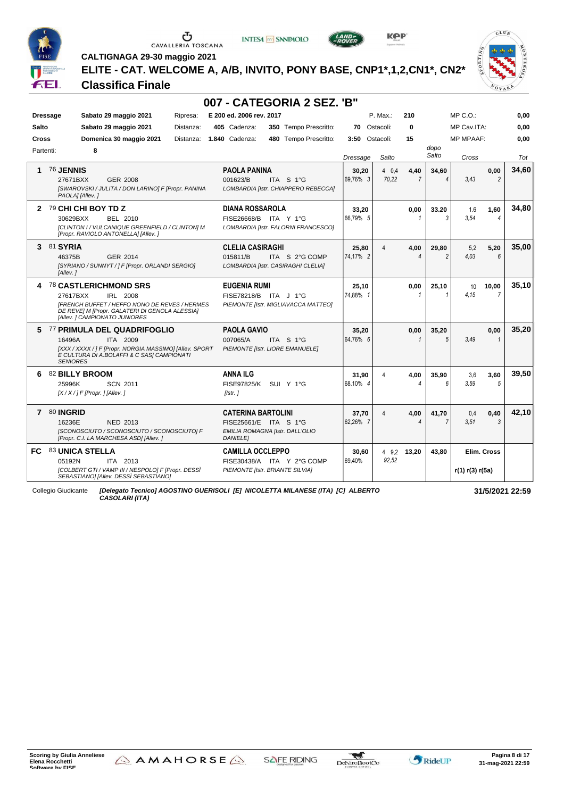

**INTESA** M SANPAOLO



**KPP** 



**CALTIGNAGA 29-30 maggio 2021**

**ELITE - CAT. WELCOME A, A/B, INVITO, PONY BASE, CNP1\*,1,2,CN1\*, CN2\***

**007 - CATEGORIA 2 SEZ. 'B"**

#### **Classifica Finale**

| <b>Dressage</b> | Sabato 29 maggio 2021<br>Ripresa:                                                                      | E 200 ed. 2006 rev. 2017                                                       |                   | P. Max.:  | 210          |                          | $MP C. O.$ :     |                | 0,00            |
|-----------------|--------------------------------------------------------------------------------------------------------|--------------------------------------------------------------------------------|-------------------|-----------|--------------|--------------------------|------------------|----------------|-----------------|
| <b>Salto</b>    | Sabato 29 maggio 2021<br>Distanza:                                                                     | 405 Cadenza:<br>350 Tempo Prescritto:                                          | 70                | Ostacoli: | 0            |                          | MP Cav.ITA:      |                | 0,00            |
| Cross           | Domenica 30 maggio 2021<br>Distanza:                                                                   | 1.840 Cadenza:<br>480 Tempo Prescritto:                                        | 3:50 Ostacoli:    |           | 15           |                          | <b>MP MPAAF:</b> |                | 0.00            |
| Partenti:       | 8                                                                                                      |                                                                                |                   |           |              | dopo                     |                  |                |                 |
|                 |                                                                                                        |                                                                                | Dressage          | Salto     |              | Salto                    | Cross            |                | Tot             |
| 1               | 76 JENNIS                                                                                              | <b>PAOLA PANINA</b>                                                            | 30,20             | 40.4      | 4,40         | 34.60                    |                  | 0,00           | 34,60           |
|                 | 27671BXX<br>GER 2008                                                                                   | 001623/B<br>ITA S 1°G                                                          | 69.76% 3          | 70.22     |              | $\boldsymbol{\varDelta}$ | 3,43             | $\overline{c}$ |                 |
|                 | [SWAROVSKI / JULITA / DON LARINO] F [Propr. PANINA<br>PAOLA] [Allev.]                                  | LOMBARDIA [Istr. CHIAPPERO REBECCA]                                            |                   |           |              |                          |                  |                |                 |
|                 | 2 79 CHI CHI BOY TD Z                                                                                  | <b>DIANA ROSSAROLA</b>                                                         | 33.20             |           | 0.00         | 33.20                    | 1,6              | 1.60           | 34,80           |
|                 | 30629BXX<br><b>BEL 2010</b>                                                                            | FISE26668/B ITA Y 1°G                                                          | 66,79% 5          |           | $\mathbf{1}$ | 3                        | 3.54             | 4              |                 |
|                 | [CLINTON I / VULCANIQUE GREENFIELD / CLINTON] M<br>[Propr. RAVIOLO ANTONELLA] [Allev. ]                | LOMBARDIA [Istr. FALORNI FRANCESCO]                                            |                   |           |              |                          |                  |                |                 |
|                 | 3 81 SYRIA                                                                                             | <b>CLELIA CASIRAGHI</b>                                                        |                   |           |              |                          |                  |                | 35,00           |
|                 | 46375B<br>GER 2014                                                                                     | 015811/B<br>ITA S 2°G COMP                                                     | 25,80<br>74.17% 2 | 4         | 4,00<br>4    | 29.80<br>2               | 5.2<br>4.03      | 5.20<br>6      |                 |
|                 | [SYRIANO / SUNNYT / ] F [Propr. ORLANDI SERGIO]                                                        | LOMBARDIA [Istr. CASIRAGHI CLELIA]                                             |                   |           |              |                          |                  |                |                 |
|                 | [Allev.]                                                                                               |                                                                                |                   |           |              |                          |                  |                |                 |
|                 | 4 78 CASTLERICHMOND SRS                                                                                | <b>EUGENIA RUMI</b>                                                            | 25,10             |           | 0,00         | 25,10                    | 10               | 10,00          | 35.10           |
|                 | IRL 2008<br>27617BXX                                                                                   | FISE78218/B ITA J 1°G                                                          | 74.88% 1          |           |              | $\mathbf 1$              | 4.15             | $\overline{7}$ |                 |
|                 | <b>IFRENCH BUFFET / HEFFO NONO DE REVES / HERMES</b><br>DE REVE] M [Propr. GALATERI DI GENOLA ALESSIA] | PIEMONTE [Istr. MIGLIAVACCA MATTEO]                                            |                   |           |              |                          |                  |                |                 |
|                 | [Allev. ] CAMPIONATO JUNIORES                                                                          |                                                                                |                   |           |              |                          |                  |                |                 |
|                 | 5 77 PRIMULA DEL QUADRIFOGLIO                                                                          | <b>PAOLA GAVIO</b>                                                             | 35,20             |           | 0,00         | 35,20                    |                  | 0,00           | 35,20           |
|                 | ITA 2009<br>16496A                                                                                     | 007065/A<br>ITA S 1°G                                                          | 64.76% 6          |           |              | 5                        | 3.49             | 1              |                 |
|                 | [XXX / XXXX / ] F [Propr. NORGIA MASSIMO] [Allev. SPORT<br>E CULTURA DI A.BOLAFFI & C SASI CAMPIONATI  | PIEMONTE [Istr. LIORE EMANUELE]                                                |                   |           |              |                          |                  |                |                 |
|                 | <b>SENIORES</b>                                                                                        |                                                                                |                   |           |              |                          |                  |                |                 |
| 6.              | 82 BILLY BROOM                                                                                         | <b>ANNA ILG</b>                                                                | 31,90             | 4         | 4,00         | 35.90                    | 3,6              | 3,60           | 39,50           |
|                 | 25996K<br><b>SCN 2011</b>                                                                              | <b>FISE97825/K</b><br>SUI Y 1°G                                                | 68.10% 4          |           | 4            | 6                        | 3.59             | 5              |                 |
|                 | $[X/X/]$ F [Propr. ] [Allev.]                                                                          | [Istr.]                                                                        |                   |           |              |                          |                  |                |                 |
|                 | 7 80 INGRID                                                                                            | <b>CATERINA BARTOLINI</b>                                                      | 37,70             | 4         | 4,00         | 41.70                    | 0,4              | 0,40           | 42.10           |
|                 | 16236E<br><b>NED 2013</b>                                                                              | FISE25661/E ITA S 1°G                                                          | 62,26% 7          |           | 4            | $\overline{7}$           | 3,51             | 3              |                 |
|                 | [SCONOSCIUTO / SCONOSCIUTO / SCONOSCIUTO] F<br>[Propr. C.I. LA MARCHESA ASD] [Allev. ]                 | EMILIA ROMAGNA [Istr. DALL'OLIO<br><b>DANIELE</b>                              |                   |           |              |                          |                  |                |                 |
| FC.             | 83 UNICA STELLA                                                                                        | <b>CAMILLA OCCLEPPO</b>                                                        | 30,60             |           | 4 9.2 13,20  | 43.80                    |                  | Elim. Cross    |                 |
|                 | ITA 2013<br>05192N                                                                                     | FISE30438/A ITA Y 2°G COMP                                                     | 69.40%            | 92.52     |              |                          |                  |                |                 |
|                 | [COLBERT GTI / VAMP III / NESPOLO] F [Propr. DESSI<br>SEBASTIANO] [Allev. DESSÌ SEBASTIANO]            | PIEMONTE [Istr. BRIANTE SILVIA]                                                |                   |           |              |                          | r(1) r(3) r(5a)  |                |                 |
|                 | Collegio Giudicante                                                                                    | [Delegato Tecnico] AGOSTINO GUERISOLI [E] NICOLETTA MILANESE (ITA) [C] ALBERTO |                   |           |              |                          |                  |                | 31/5/2021 22:59 |

*CASOLARI (ITA)*



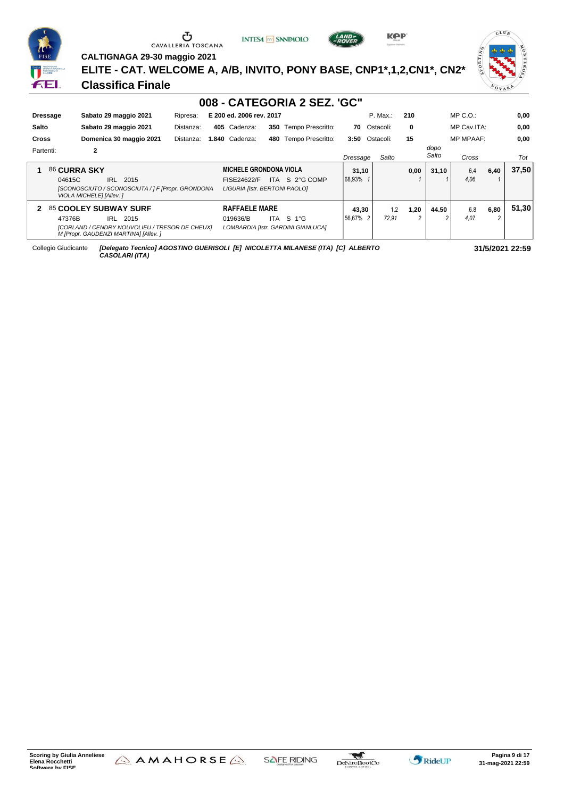

### CAVALLERIA TOSCANA

**INTESA** M SANPAOLO



**KPP** 

**CALTIGNAGA 29-30 maggio 2021**

**ELITE - CAT. WELCOME A, A/B, INVITO, PONY BASE, CNP1\*,1,2,CN1\*, CN2\***

#### **Classifica Finale**



|              |          |                                                                                         |           |                               |     | 008 - CATEGORIA 2 SEZ. 'GC"        |          |                |      |               |                  |      |       |
|--------------|----------|-----------------------------------------------------------------------------------------|-----------|-------------------------------|-----|------------------------------------|----------|----------------|------|---------------|------------------|------|-------|
|              | Dressage | Sabato 29 maggio 2021                                                                   | Ripresa:  | E 200 ed. 2006 rev. 2017      |     |                                    |          | P. Max.:       | 210  |               | $MP C. O.$ :     |      | 0,00  |
| <b>Salto</b> |          | Sabato 29 maggio 2021                                                                   | Distanza: | 405 Cadenza:                  | 350 | Tempo Prescritto:                  | 70       | Ostacoli:      | 0    |               | MP Cav.ITA:      |      | 0,00  |
| <b>Cross</b> |          | Domenica 30 maggio 2021                                                                 | Distanza: | <b>I.840 Cadenza:</b>         | 480 | Tempo Prescritto:                  |          | 3:50 Ostacoli: | 15   |               | <b>MP MPAAF:</b> |      | 0.00  |
| Partenti:    |          | $\overline{2}$                                                                          |           |                               |     |                                    | Dressage | Salto          |      | dopo<br>Salto | Cross            |      | Tot   |
|              |          | 86 CURRA SKY                                                                            |           | <b>MICHELE GRONDONA VIOLA</b> |     |                                    | 31,10    |                | 0,00 | 31.10         | 6.4              | 6,40 | 37,50 |
|              | 04615C   | <b>IRL</b><br>2015                                                                      |           | FISE24622/F                   |     | ITA S 2°G COMP                     | 68.93%   |                |      |               | 4.06             |      |       |
|              |          | [SCONOSCIUTO / SCONOSCIUTA / ] F [Propr. GRONDONA<br>VIOLA MICHELE] [Allev. ]           |           | LIGURIA [Istr. BERTONI PAOLO] |     |                                    |          |                |      |               |                  |      |       |
| $\mathbf{2}$ |          | 85 COOLEY SUBWAY SURF                                                                   |           | <b>RAFFAELE MARE</b>          |     |                                    | 43,30    | 1,2            | 1,20 | 44,50         | 6.8              | 6,80 | 51,30 |
|              | 47376B   | 2015<br>IRL                                                                             |           | 019636/B                      | ITA | $S$ 1°G                            | 56.67% 2 | 72.91          |      |               | 4.07             | 2    |       |
|              |          | [CORLAND / CENDRY NOUVOLIEU / TRESOR DE CHEUX]<br>M [Propr. GAUDENZI MARTINA] [Allev. ] |           |                               |     | LOMBARDIA [Istr. GARDINI GIANLUCA] |          |                |      |               |                  |      |       |

Collegio Giudicante *[Delegato Tecnico] AGOSTINO GUERISOLI [E] NICOLETTA MILANESE (ITA) [C] ALBERTO CASOLARI (ITA)*



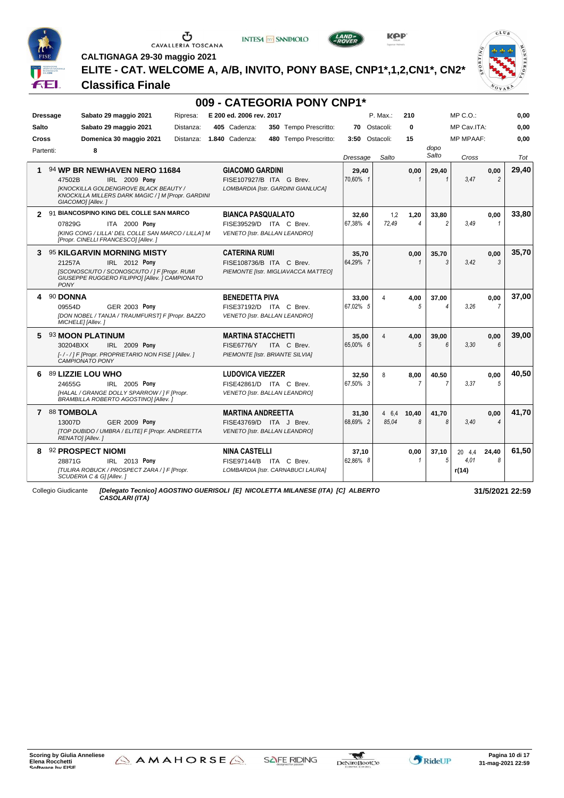

# $\begin{array}{c}\n\bullet \\
\bullet \\
\bullet \\
\bullet\n\end{array}$  CAVALLERIA TOSCANA





**CALTIGNAGA 29-30 maggio 2021**

**ELITE - CAT. WELCOME A, A/B, INVITO, PONY BASE, CNP1\*,1,2,CN1\*, CN2\***

#### **Classifica Finale**



| <b>Dressage</b> | Sabato 29 maggio 2021                                                                                                   | Ripresa:               | E 200 ed. 2006 rev. 2017  | 009 - CATEGORIA PONY CNP1*                     |          | P. Max.:               | 210            |                | MP C. O.         |                | 0,00         |
|-----------------|-------------------------------------------------------------------------------------------------------------------------|------------------------|---------------------------|------------------------------------------------|----------|------------------------|----------------|----------------|------------------|----------------|--------------|
| Salto           |                                                                                                                         |                        | 405 Cadenza:              |                                                | 70       | Ostacoli:              | $\bf{0}$       |                | MP Cav.ITA:      |                |              |
| <b>Cross</b>    | Sabato 29 maggio 2021<br>Domenica 30 maggio 2021                                                                        | Distanza:<br>Distanza: | <b>1.840 Cadenza:</b>     | 350 Tempo Prescritto:<br>480 Tempo Prescritto: | 3:50     | Ostacoli:              | 15             |                | <b>MP MPAAF:</b> |                | 0,00<br>0.00 |
| Partenti:       | 8                                                                                                                       |                        |                           |                                                |          |                        |                | dopo           |                  |                |              |
|                 |                                                                                                                         |                        |                           |                                                | Dressage | Salto                  |                | Salto          | Cross            |                | Tot          |
| 1               | 94 WP BR NEWHAVEN NERO 11684                                                                                            |                        | <b>GIACOMO GARDINI</b>    |                                                | 29,40    |                        | 0,00           | 29,40          |                  | 0,00           | 29,40        |
|                 | IRL 2009 Pony<br>47502B                                                                                                 |                        |                           | FISE107927/B ITA G Brev.                       | 70.60% 1 |                        | $\mathbf{1}$   | $\mathbf{1}$   | 3.47             | $\overline{2}$ |              |
|                 | <b>[KNOCKILLA GOLDENGROVE BLACK BEAUTY /</b><br>KNOCKILLA MILLERS DARK MAGIC / 1 M [Propr. GARDINI<br>GIACOMO] [Allev.] |                        |                           | LOMBARDIA [Istr. GARDINI GIANLUCA]             |          |                        |                |                |                  |                |              |
| $\mathbf{z}$    | 91 BIANCOSPINO KING DEL COLLE SAN MARCO                                                                                 |                        | <b>BIANCA PASQUALATO</b>  |                                                | 32,60    | 1,2                    | 1,20           | 33,80          |                  | 0,00           | 33,80        |
|                 | 07829G<br><b>ITA 2000 Pony</b>                                                                                          |                        |                           | FISE39529/D ITA C Brev.                        | 67.38% 4 | 72.49                  | 4              | $\mathfrak{p}$ | 3.49             | 1              |              |
|                 | [KING CONG / LILLA' DEL COLLE SAN MARCO / LILLA'] M<br>[Propr. CINELLI FRANCESCO] [Allev.]                              |                        |                           | <b>VENETO [Istr. BALLAN LEANDRO]</b>           |          |                        |                |                |                  |                |              |
| 3               | 95 KILGARVIN MORNING MISTY                                                                                              |                        | <b>CATERINA RUMI</b>      |                                                | 35,70    |                        | 0,00           | 35,70          |                  | 0,00           | 35,70        |
|                 | 21257A<br>IRL 2012 Pony                                                                                                 |                        |                           | FISE108736/B ITA C Brev.                       | 64.29% 7 |                        |                | 3              | 3.42             | $\mathcal{R}$  |              |
| <b>PONY</b>     | [SCONOSCIUTO / SCONOSCIUTO / ] F [Propr. RUMI<br>GIUSEPPE RUGGERO FILIPPOI [Allev. ] CAMPIONATO                         |                        |                           | PIEMONTE [Istr. MIGLIAVACCA MATTEO]            |          |                        |                |                |                  |                |              |
| 90 DONNA<br>4   |                                                                                                                         |                        | <b>BENEDETTA PIVA</b>     |                                                | 33.00    | 4                      | 4.00           | 37.00          |                  | 0.00           | 37.00        |
|                 | 09554D<br><b>GER 2003 Pony</b>                                                                                          |                        |                           | FISE37192/D ITA C Brev.                        | 67.02% 5 |                        | 5              | 4              | 3.26             | 7              |              |
|                 | [DON NOBEL / TANJA / TRAUMFURST] F [Propr. BAZZO<br>MICHELE] [Allev.]                                                   |                        |                           | VENETO [Istr. BALLAN LEANDRO]                  |          |                        |                |                |                  |                |              |
| 5               | 93 MOON PLATINUM                                                                                                        |                        | <b>MARTINA STACCHETTI</b> |                                                | 35,00    | $\boldsymbol{\Lambda}$ | 4,00           | 39,00          |                  | 0,00           | 39,00        |
|                 | 30204BXX<br><b>IRL 2009 Pony</b>                                                                                        |                        | <b>FISE6776/Y</b>         | ITA C Brev.                                    | 65.00% 6 |                        | 5              | 6              | 3.30             | 6              |              |
|                 | [-/-/] F [Propr. PROPRIETARIO NON FISE ] [Allev. ]<br><b>CAMPIONATO PONY</b>                                            |                        |                           | PIEMONTE [Istr. BRIANTE SILVIA]                |          |                        |                |                |                  |                |              |
| 6               | 89 LIZZIE LOU WHO                                                                                                       |                        | <b>LUDOVICA VIEZZER</b>   |                                                | 32,50    | 8                      | 8.00           | 40.50          |                  | 0,00           | 40,50        |
|                 | 24655G<br>IRL 2005 Pony                                                                                                 |                        |                           | FISE42861/D ITA C Brev.                        | 67.50% 3 |                        | $\overline{7}$ | 7              | 3.37             | 5              |              |
|                 | [HALAL / GRANGE DOLLY SPARROW / ] F [Propr.<br><b>BRAMBILLA ROBERTO AGOSTINO] [Allev.</b>                               |                        |                           | VENETO [Istr. BALLAN LEANDRO]                  |          |                        |                |                |                  |                |              |
| 7 88 TOMBOLA    |                                                                                                                         |                        | <b>MARTINA ANDREETTA</b>  |                                                | 31,30    | 4 6.4                  | 10,40          | 41,70          |                  | 0,00           | 41,70        |
|                 | 13007D<br><b>GER 2009 Pony</b>                                                                                          |                        |                           | FISE43769/D ITA J Brev.                        | 68.69% 2 | 85.04                  | 8              | 8              | 3.40             | 4              |              |
|                 | [TOP DUBIDO / UMBRA / ELITE] F [Propr. ANDREETTA<br>RENATO] [Allev.]                                                    |                        |                           | <b>VENETO [Istr. BALLAN LEANDRO]</b>           |          |                        |                |                |                  |                |              |
| 8               | 92 PROSPECT NIOMI                                                                                                       |                        | <b>NINA CASTELLI</b>      |                                                | 37,10    |                        | 0,00           | 37.10          | 20 4.4           | 24.40          | 61,50        |
|                 | IRL 2013 Pony<br>28871G                                                                                                 |                        |                           | FISE97144/B ITA C Brev.                        | 62.86% 8 |                        | 1              | 5              | 4.01             | 8              |              |
|                 | [TULIRA ROBUCK / PROSPECT ZARA / ] F [Propr.<br>SCUDERIA C & G] [Allev. ]                                               |                        |                           | LOMBARDIA [Istr. CARNABUCI LAURA]              |          |                        |                |                | r(14)            |                |              |

*CASOLARI (ITA)*



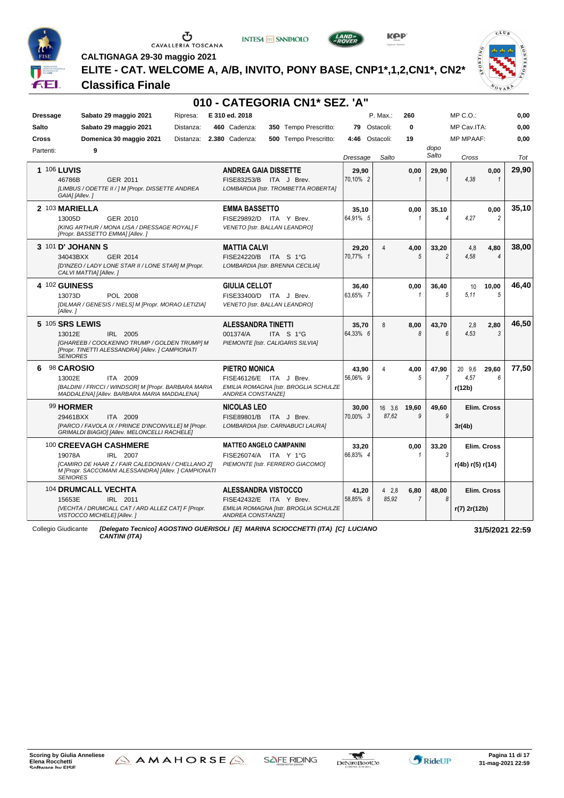

### CAVALLERIA TOSCANA





**CALTIGNAGA 29-30 maggio 2021**

**ELITE - CAT. WELCOME A, A/B, INVITO, PONY BASE, CNP1\*,1,2,CN1\*, CN2\***

**010 - CATEGORIA CN1\* SEZ. 'A"**



#### **Classifica Finale**

| <b>Dressage</b><br><b>Salto</b><br><b>Cross</b> | Sabato 29 maggio 2021<br>Sabato 29 maggio 2021<br>Domenica 30 maggio 2021                                                                      | Ripresa:<br>Distanza:<br>Distanza: | E 310 ed. 2018<br>460 Cadenza:<br>2.380 Cadenza:                                              | 350 Tempo Prescritto:<br>500 Tempo Prescritto: | 79<br>4:46        | P. Max.:<br>Ostacoli:<br>Ostacoli: | 260<br>0<br>19         |                          | $MP C. O.$ :<br>MP Cav.ITA:<br><b>MP MPAAF:</b> |                        | 0,00<br>0,00<br>0.00 |
|-------------------------------------------------|------------------------------------------------------------------------------------------------------------------------------------------------|------------------------------------|-----------------------------------------------------------------------------------------------|------------------------------------------------|-------------------|------------------------------------|------------------------|--------------------------|-------------------------------------------------|------------------------|----------------------|
| Partenti:                                       | 9                                                                                                                                              |                                    |                                                                                               |                                                | Dressage          | Salto                              |                        | dopo<br>Salto            | Cross                                           |                        | Tot                  |
| <b>1 106 LUVIS</b><br>46786B                    | GER 2011<br>[LIMBUS / ODETTE II / ] M [Propr. DISSETTE ANDREA<br>GAIA] [Allev.]                                                                |                                    | <b>ANDREA GAIA DISSETTE</b><br>FISE83253/B ITA J Brev.<br>LOMBARDIA [Istr. TROMBETTA ROBERTA] |                                                | 29.90<br>70.10% 2 |                                    | 0,00                   | 29,90                    | 4.38                                            | 0,00<br>$\mathbf{1}$   | 29,90                |
| 2 103 MARIELLA<br>13005D                        | GER 2010<br>[KING ARTHUR / MONA LISA / DRESSAGE ROYAL] F<br>[Propr. BASSETTO EMMA] [Allev.]                                                    |                                    | <b>EMMA BASSETTO</b><br>FISE29892/D ITA Y Brev.<br>VENETO [Istr. BALLAN LEANDRO]              |                                                | 35,10<br>64,91% 5 |                                    | 0.00<br>$\mathbf{1}$   | 35,10<br>4               | 4,27                                            | 0.00<br>$\overline{c}$ | 35.10                |
| 3 101 D' JOHANN S<br>34043BXX                   | <b>GER 2014</b><br>[D'INZEO / LADY LONE STAR II / LONE STAR] M [Propr.<br>CALVI MATTIA] [Allev.]                                               |                                    | <b>MATTIA CALVI</b><br>FISE24220/B ITA S 1°G<br>LOMBARDIA [Istr. BRENNA CECILIA]              |                                                | 29,20<br>70.77% 1 | 4                                  | 4,00<br>5              | 33,20<br>$\mathfrak{p}$  | 4,8<br>4.58                                     | 4,80<br>$\overline{4}$ | 38,00                |
| 4 102 GUINESS<br>13073D<br>[Allev.]             | POL 2008<br>[DILMAR / GENESIS / NIELS] M [Propr. MORAO LETIZIA]                                                                                |                                    | <b>GIULIA CELLOT</b><br>FISE33400/D ITA J Brev.<br>VENETO [Istr. BALLAN LEANDRO]              |                                                | 36,40<br>63.65% 7 |                                    | 0,00<br>1              | 36.40<br>5               | 10<br>5.11                                      | 10.00<br>5             | 46.40                |
| 5 105 SRS LEWIS<br>13012E<br><b>SENIORES</b>    | IRL 2005<br>[GHAREEB / COOLKENNO TRUMP / GOLDEN TRUMP] M<br>[Propr. TINETTI ALESSANDRA] [Allev. ] CAMPIONATI                                   |                                    | <b>ALESSANDRA TINETTI</b><br>001374/A<br>PIEMONTE [Istr. CALIGARIS SILVIA]                    | ITA S 1°G                                      | 35.70<br>64.33% 6 | 8                                  | 8.00<br>8              | 43.70<br>$6\overline{6}$ | 2.8<br>4,53                                     | 2,80<br>3              | 46,50                |
| 98 CAROSIO<br>6<br>13002E                       | ITA 2009<br>[BALDINI / FRICCI / WINDSOR] M [Propr. BARBARA MARIA<br>MADDALENA] [Allev. BARBARA MARIA MADDALENA]                                |                                    | <b>PIETRO MONICA</b><br>FISE46126/E ITA J Brev.<br><b>ANDREA CONSTANZEI</b>                   | EMILIA ROMAGNA [Istr. BROGLIA SCHULZE          | 43.90<br>56.06% 9 | 4                                  | 4,00<br>5              | 47.90<br>7               | 20 9.6<br>4.57<br>r(12b)                        | 29.60<br>6             | 77,50                |
| 99 HORMER<br>29461BXX                           | ITA 2009<br>[PARCO / FAVOLA IX / PRINCE D'INCONVILLE] M [Propr.<br>GRIMALDI BIAGIO] [Allev. MELONCELLI RACHELE]                                |                                    | NICOLAS LEO<br>FISE89801/B ITA J Brev.<br>LOMBARDIA [Istr. CARNABUCI LAURA]                   |                                                | 30.00<br>70,00% 3 | 16 3.6<br>87.62                    | 19,60<br>9             | 49.60<br>g               | 3r(4b)                                          | Elim. Cross            |                      |
| 19078A<br><b>SENIORES</b>                       | 100 CREEVAGH CASHMERE<br>IRL 2007<br>[CAMIRO DE HAAR Z / FAIR CALEDONIAN / CHELLANO Z]<br>M [Propr. SACCOMANI ALESSANDRA] [Allev. ] CAMPIONATI |                                    | <b>MATTEO ANGELO CAMPANINI</b><br>FISE26074/A ITA Y 1°G<br>PIEMONTE [Istr. FERRERO GIACOMO]   |                                                | 33,20<br>66.83% 4 |                                    | 0,00<br>1              | 33,20<br>3               | r(4b) r(5) r(14)                                | Elim. Cross            |                      |
| 15653E                                          | 104 DRUMCALL VECHTA<br>IRL 2011<br>[VECHTA / DRUMCALL CAT / ARD ALLEZ CAT] F [Propr.<br>VISTOCCO MICHELE] [Allev.]                             |                                    | <b>ALESSANDRA VISTOCCO</b><br>FISE42432/E ITA Y Brev.<br><b>ANDREA CONSTANZEI</b>             | EMILIA ROMAGNA [Istr. BROGLIA SCHULZE          | 41,20<br>58.85% 8 | 42.8<br>85.92                      | 6,80<br>$\overline{7}$ | 48,00<br>R               | r(7) 2r(12b)                                    | Elim. Cross            |                      |

Collegio Giudicante *[Delegato Tecnico] AGOSTINO GUERISOLI [E] MARINA SCIOCCHETTI (ITA) [C] LUCIANO CANTINI (ITA)*



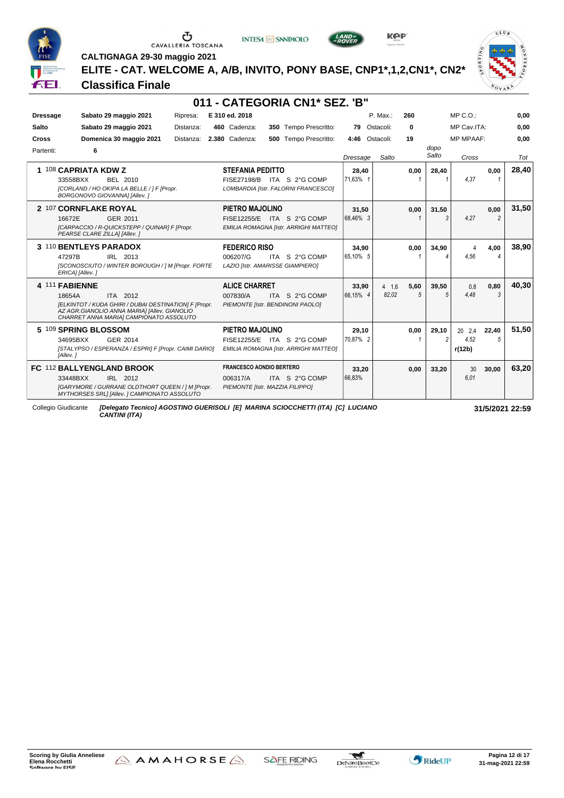

# $\begin{array}{c}\n\bullet \\
\bullet \\
\bullet \\
\bullet \\
\bullet\n\end{array}$  CAVALLERIA TOSCANA

**INTESA** M SANPAOLO



**KPP** 

 $CLU_B$ VOVAL

**CALTIGNAGA 29-30 maggio 2021**

**ELITE - CAT. WELCOME A, A/B, INVITO, PONY BASE, CNP1\*,1,2,CN1\*, CN2\***

#### **Classifica Finale**

|                 |                                                                                                                                                                                          |           |                                                                                | 011 - CATEGORIA CN1* SEZ. 'B"                                       |                   |                 |                    |               |                          |                        |       |
|-----------------|------------------------------------------------------------------------------------------------------------------------------------------------------------------------------------------|-----------|--------------------------------------------------------------------------------|---------------------------------------------------------------------|-------------------|-----------------|--------------------|---------------|--------------------------|------------------------|-------|
| <b>Dressage</b> | Sabato 29 maggio 2021                                                                                                                                                                    | Ripresa:  | E 310 ed. 2018                                                                 |                                                                     |                   | P. Max.:        | 260                |               | $MP C. O.$ :             |                        | 0,00  |
| Salto           | Sabato 29 maggio 2021                                                                                                                                                                    | Distanza: | 460 Cadenza:                                                                   | 350 Tempo Prescritto:                                               | 79                | Ostacoli:       | 0                  |               | MP Cav.ITA:              |                        | 0,00  |
| Cross           | Domenica 30 maggio 2021                                                                                                                                                                  | Distanza: | 2.380 Cadenza:                                                                 | <b>500</b> Tempo Prescritto:                                        | 4:46              | Ostacoli:       | 19                 |               | <b>MP MPAAF:</b>         |                        | 0.00  |
| Partenti:       | 6                                                                                                                                                                                        |           |                                                                                |                                                                     | Dressage          | Salto           |                    | dopo<br>Salto | Cross                    |                        | Tot   |
| 1.              | 108 CAPRIATA KDW Z<br>33558BXX<br>BEL 2010<br>[CORLAND / HO OKIPA LA BELLE / ] F [Propr.<br>BORGONOVO GIOVANNA] [Allev.]                                                                 |           | <b>STEFANIA PEDITTO</b>                                                        | FISE27198/B ITA S 2°G COMP<br>LOMBARDIA [Istr. FALORNI FRANCESCO]   | 28,40<br>71.63% 1 |                 | 0.00               | 28.40         | 4.37                     | 0.00                   | 28,40 |
|                 | 2 107 CORNFLAKE ROYAL<br>16672E<br>GER 2011<br>[CARPACCIO / R-QUICKSTEPP / QUINAR] F [Propr.<br>PEARSE CLARE ZILLA] [Allev.]                                                             |           | PIETRO MAJOLINO                                                                | FISE12255/E ITA S 2°G COMP<br>EMILIA ROMAGNA [Istr. ARRIGHI MATTEO] | 31,50<br>68.46% 3 |                 | 0.00               | 31.50<br>3    | 4.27                     | 0.00<br>$\overline{2}$ | 31,50 |
|                 | 3 110 BENTLEYS PARADOX<br>IRL 2013<br>47297B<br>[SCONOSCIUTO / WINTER BOROUGH / ] M [Propr. FORTE<br>ERICA] [Allev. ]                                                                    |           | <b>FEDERICO RISO</b><br>006207/G<br>LAZIO [Istr. AMARISSE GIAMPIERO]           | ITA S 2°G COMP                                                      | 34,90<br>65.10% 5 |                 | 0,00               | 34,90         | Δ<br>4.56                | 4,00                   | 38,90 |
|                 | 4 111 FABIENNE<br>ITA 2012<br>18654A<br>[ELKINTOT / KUDA GHIRI / DUBAI DESTINATION] F [Propr.<br>AZ AGR.GIANOLIO ANNA MARIA] [Allev. GIANOLIO<br>CHARRET ANNA MARIA] CAMPIONATO ASSOLUTO |           | <b>ALICE CHARRET</b><br>007830/A                                               | ITA S 2°G COMP<br>PIEMONTE [Istr. BENDINONI PAOLO]                  | 33,90<br>66.15% 4 | 4, 1.6<br>82.02 | 5,60<br>$\sqrt{2}$ | 39.50<br>5    | 0.8<br>4.48              | 0,80<br>$\mathcal{R}$  | 40.30 |
|                 | 5 109 SPRING BLOSSOM<br>34695BXX<br>GER 2014<br>[STALYPSO / ESPERANZA / ESPRI] F [Propr. CAIMI DARIO]<br>[Allev.]                                                                        |           | PIETRO MAJOLINO                                                                | FISE12255/E ITA S 2°G COMP<br>EMILIA ROMAGNA [Istr. ARRIGHI MATTEO] | 29,10<br>70.87% 2 |                 | 0.00               | 29.10<br>2    | 20 2.4<br>4.52<br>r(12b) | 22.40<br>5             | 51,50 |
|                 | FC 112 BALLYENGLAND BROOK<br>33448BXX<br>IRL 2012<br>[GARYMORE / GURRANE OLDTHORT QUEEN / ] M [Propr.<br>MYTHORSES SRL1 [Allev. ] CAMPIONATO ASSOLUTO                                    |           | <b>FRANCESCO AONDIO BERTERO</b><br>006317/A<br>PIEMONTE [Istr. MAZZIA FILIPPO] | ITA S 2°G COMP                                                      | 33,20<br>66.83%   |                 | 0.00               | 33.20         | 30<br>6.01               | 30.00                  | 63.20 |

Collegio Giudicante *[Delegato Tecnico] AGOSTINO GUERISOLI [E] MARINA SCIOCCHETTI (ITA) [C] LUCIANO CANTINI (ITA)*



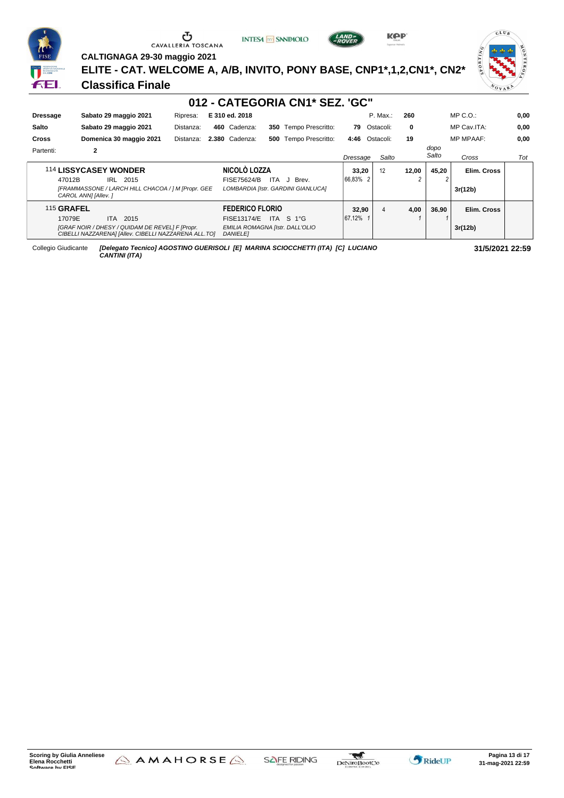

**INTESA** M SANPAOLO





 $CLU$ 

NOVA

**CALTIGNAGA 29-30 maggio 2021**

**ELITE - CAT. WELCOME A, A/B, INVITO, PONY BASE, CNP1\*,1,2,CN1\*, CN2\***

#### **Classifica Finale**

| 012 - CATEGORIA CN1* SEZ. 'GC"               |                                                                                                         |           |                                                    |      |                                    |          |             |      |               |                  |      |
|----------------------------------------------|---------------------------------------------------------------------------------------------------------|-----------|----------------------------------------------------|------|------------------------------------|----------|-------------|------|---------------|------------------|------|
| <b>Dressage</b>                              | Sabato 29 maggio 2021                                                                                   | Ripresa:  | E 310 ed. 2018                                     |      |                                    |          | P. Max.:    | 260  |               | $MP C. O.$ :     | 0,00 |
| Salto                                        | Sabato 29 maggio 2021                                                                                   | Distanza: | 460 Cadenza:                                       |      | 350 Tempo Prescritto:              | 79       | Ostacoli:   | 0    |               | MP Cav.ITA:      | 0,00 |
| <b>Cross</b>                                 | Domenica 30 maggio 2021                                                                                 | Distanza: | 2.380 Cadenza:                                     | 500  | Tempo Prescritto:                  | 4:46     | Ostacoli:   | 19   |               | <b>MP MPAAF:</b> | 0,00 |
| Partenti:                                    | 2                                                                                                       |           |                                                    |      |                                    | Dressage | Salto       |      | dopo<br>Salto | Cross            | Tot  |
| NICOLO LOZZA<br><b>114 LISSYCASEY WONDER</b> |                                                                                                         |           | 33,20                                              | 12   | 12.00                              | 45.20    | Elim. Cross |      |               |                  |      |
| 47012B                                       | IRL 2015                                                                                                |           | FISE75624/B                                        | ITA. | Brev.<br>J                         | 66.83% 2 |             |      |               |                  |      |
|                                              | [FRAMMASSONE / LARCH HILL CHACOA / ] M [Propr. GEE<br>CAROL ANNI [Allev.]                               |           |                                                    |      | LOMBARDIA [Istr. GARDINI GIANLUCA] |          |             |      |               | 3r(12b)          |      |
| <b>115 GRAFEL</b>                            |                                                                                                         |           | <b>FEDERICO FLORIO</b>                             |      |                                    | 32.90    | 4           | 4,00 | 36.90         | Elim. Cross      |      |
| 17079E                                       | ITA.<br>2015                                                                                            |           | <b>FISE13174/E</b>                                 | ITA  | S 1°G                              | 67.12%   |             |      |               |                  |      |
|                                              | [GRAF NOIR / DHESY / QUIDAM DE REVEL] F [Propr.<br>CIBELLI NAZZARENA] [Allev. CIBELLI NAZZARENA ALL.TO] |           | EMILIA ROMAGNA [Istr. DALL'OLIO<br><b>DANIELEI</b> |      |                                    |          |             |      |               | 3r(12b)          |      |

Collegio Giudicante *[Delegato Tecnico] AGOSTINO GUERISOLI [E] MARINA SCIOCCHETTI (ITA) [C] LUCIANO CANTINI (ITA)*



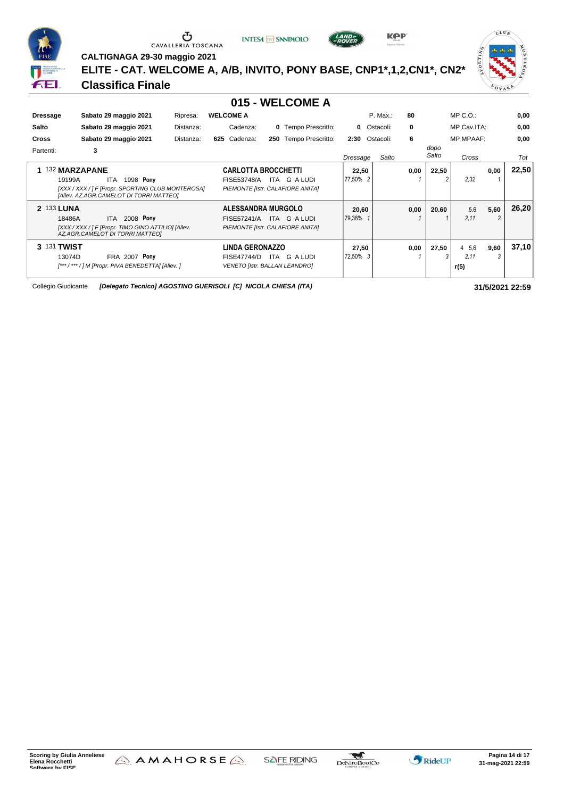

**INTESA** M SANPAOLO



**KPP** 

 $CLU_B$ VOVA

**CALTIGNAGA 29-30 maggio 2021**

**ELITE - CAT. WELCOME A, A/B, INVITO, PONY BASE, CNP1\*,1,2,CN1\*, CN2\***

#### **Classifica Finale**

#### **015 - WELCOME A**

| <b>Dressage</b><br>Salto<br><b>Cross</b><br>Partenti: | Sabato 29 maggio 2021<br>Sabato 29 maggio 2021<br>Sabato 29 maggio 2021<br>3                                                                | Ripresa:<br>Distanza:<br>Distanza: | <b>WELCOME A</b><br>Cadenza:<br>625 Cadenza: | <b>0</b> Tempo Prescritto:<br>Tempo Prescritto:<br>250                            | 2:30              | P. Max.:<br><b>0</b> Ostacoli:<br>Ostacoli: | 80<br>0<br>6 | dopo       | $MP C. O.$ :<br>MP Cav.ITA:<br><b>MP MPAAF:</b> |           | 0,00<br>0,00<br>0.00 |
|-------------------------------------------------------|---------------------------------------------------------------------------------------------------------------------------------------------|------------------------------------|----------------------------------------------|-----------------------------------------------------------------------------------|-------------------|---------------------------------------------|--------------|------------|-------------------------------------------------|-----------|----------------------|
|                                                       |                                                                                                                                             |                                    |                                              |                                                                                   | Dressage          | Salto                                       |              | Salto      | Cross                                           |           | Tot                  |
|                                                       | 132 MARZAPANE<br>1998 Pony<br>19199A<br>ITA<br>[XXX / XXX / ] F [Propr. SPORTING CLUB MONTEROSA]<br>[Allev. AZ.AGR.CAMELOT DI TORRI MATTEO] |                                    | <b>FISE53748/A</b>                           | <b>CARLOTTA BROCCHETTI</b><br>G A LUDI<br>ITA<br>PIEMONTE [Istr. CALAFIORE ANITA] | 22,50<br>77.50% 2 |                                             | 0,00         | 22,50      | 2.32                                            | 0,00      | 22,50                |
| 2 133 LUNA                                            | 2008 Pony<br>18486A<br>ITA<br>[XXX / XXX / ] F [Propr. TIMO GINO ATTILIO] [Allev.<br>AZ.AGR.CAMELOT DI TORRI MATTEO]                        |                                    | <b>FISE57241/A</b>                           | ALESSANDRA MURGOLO<br>ITA G A LUDI<br>PIEMONTE [Istr. CALAFIORE ANITA]            | 20,60<br>79.38%   |                                             | 0,00         | 20,60      | 5.6<br>2.11                                     | 5,60      | 26,20                |
| 3                                                     | <b>131 TWIST</b><br>13074D<br><b>FRA 2007 Pony</b><br>[*** / *** / ] M [Propr. PIVA BENEDETTA] [Allev. ]                                    |                                    | <b>LINDA GERONAZZO</b><br><b>FISE47744/D</b> | ITA<br>G A LUDI<br><b>VENETO [Istr. BALLAN LEANDRO]</b>                           | 27,50<br>72,50% 3 |                                             | 0,00         | 27,50<br>3 | 4 5.6<br>2.11<br>r(5)                           | 9,60<br>3 | 37,10                |

Collegio Giudicante *[Delegato Tecnico] AGOSTINO GUERISOLI [C] NICOLA CHIESA (ITA)* **31/5/2021 22:59**



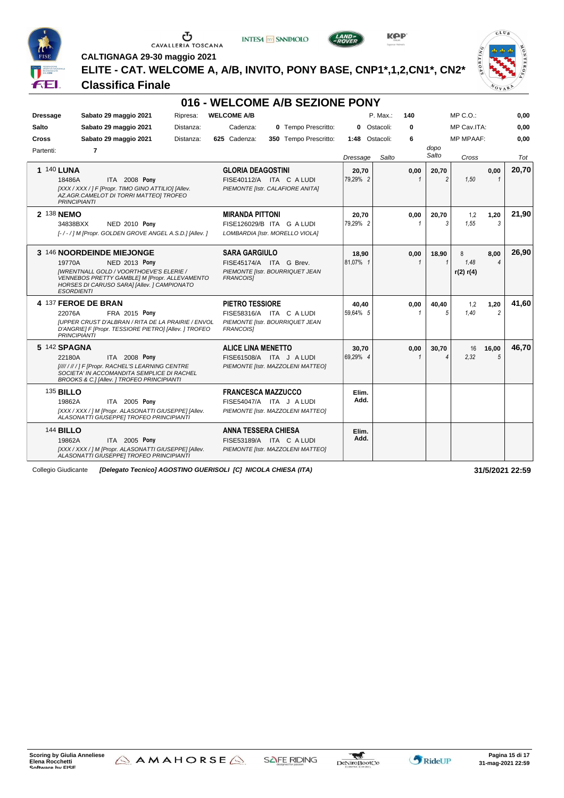





**KPP** 



**CALTIGNAGA 29-30 maggio 2021**

**ELITE - CAT. WELCOME A, A/B, INVITO, PONY BASE, CNP1\*,1,2,CN1\*, CN2\***

#### **Classifica Finale**

| 016 - WELCOME A/B SEZIONE PONY                                                                                                                                                                                                     |                                                                                                           |                   |                      |                                                                |       |  |  |  |  |  |
|------------------------------------------------------------------------------------------------------------------------------------------------------------------------------------------------------------------------------------|-----------------------------------------------------------------------------------------------------------|-------------------|----------------------|----------------------------------------------------------------|-------|--|--|--|--|--|
| <b>Dressage</b><br>Sabato 29 maggio 2021<br>Ripresa:                                                                                                                                                                               | <b>WELCOME A/B</b>                                                                                        | P. Max.:          | 140                  | $MP C. O.$ :                                                   | 0,00  |  |  |  |  |  |
| <b>Salto</b><br>Sabato 29 maggio 2021<br>Distanza:                                                                                                                                                                                 | 0 Tempo Prescritto:<br>Cadenza:                                                                           | Ostacoli:<br>0    | 0                    | MP Cav.ITA:                                                    | 0,00  |  |  |  |  |  |
| Sabato 29 maggio 2021<br><b>Cross</b><br>Distanza:                                                                                                                                                                                 | 625 Cadenza:<br>350 Tempo Prescritto:                                                                     | 1:48 Ostacoli:    | 6                    | <b>MP MPAAF:</b>                                               | 0.00  |  |  |  |  |  |
| Partenti:<br>$\overline{7}$                                                                                                                                                                                                        |                                                                                                           | Salto<br>Dressage |                      | dopo<br>Salto<br>Cross                                         | Tot   |  |  |  |  |  |
| <b>1 140 LUNA</b><br>ITA 2008 Pony<br>18486A<br>[XXX / XXX / ] F [Propr. TIMO GINO ATTILIO] [Allev.<br>AZ.AGR.CAMELOT DI TORRI MATTEO] TROFEO<br><b>PRINCIPIANTI</b>                                                               | <b>GLORIA DEAGOSTINI</b><br>FISE40112/A ITA C A LUDI<br>PIEMONTE [Istr. CALAFIORE ANITA]                  | 20,70<br>79.29% 2 | 0,00                 | 0,00<br>20,70<br>$\mathfrak{p}$<br>1,50                        | 20,70 |  |  |  |  |  |
| 2 138 NEMO<br>34838BXX<br><b>NED 2010 Pony</b><br>[-/-/] M [Propr. GOLDEN GROVE ANGEL A.S.D.] [Allev.]                                                                                                                             | <b>MIRANDA PITTONI</b><br>FISE126029/B ITA G A LUDI<br>LOMBARDIA [Istr. MORELLO VIOLA]                    | 20.70<br>79.29% 2 | 0,00<br>-1           | 20.70<br>1,2<br>1,20<br>3<br>1.55<br>3                         | 21.90 |  |  |  |  |  |
| 3 146 NOORDEINDE MIEJONGE<br>19770A<br><b>NED 2013 Pony</b><br><b>[WRENTNALL GOLD / VOORTHOEVE'S ELERIE /</b><br>VENNEBOS PRETTY GAMBLE] M [Propr. ALLEVAMENTO<br>HORSES DI CARUSO SARAI [Allev. ] CAMPIONATO<br><b>ESORDIENTI</b> | <b>SARA GARGIULO</b><br>FISE45174/A ITA G Brev.<br>PIEMONTE [Istr. BOURRIQUET JEAN<br><b>FRANCOISI</b>    | 18.90<br>81.07% 1 | 0,00<br>$\mathbf{1}$ | 8.00<br>18.90<br>8<br>1.48<br>$\overline{4}$<br>1<br>r(2) r(4) | 26,90 |  |  |  |  |  |
| 4 137 FEROE DE BRAN<br>22076A<br><b>FRA 2015 Pony</b><br><b>IUPPER CRUST D'ALBRAN / RITA DE LA PRAIRIE / ENVOL</b><br>D'ANGRIE] F [Propr. TESSIORE PIETRO] [Allev. ] TROFEO<br><b>PRINCIPIANTI</b>                                 | <b>PIETRO TESSIORE</b><br>FISE58316/A ITA C A LUDI<br>PIEMONTE [Istr. BOURRIQUET JEAN<br><b>FRANCOISI</b> | 40.40<br>59.64% 5 | 0,00<br>$\mathbf{1}$ | 40.40<br>1,2<br>1,20<br>$\overline{2}$<br>5<br>1.40            | 41.60 |  |  |  |  |  |
| 5 142 SPAGNA<br>ITA 2008 Pony<br>22180A<br>[//// / // / ] F [Propr. RACHEL'S LEARNING CENTRE<br>SOCIETA' IN ACCOMANDITA SEMPLICE DI RACHEL<br><b>BROOKS &amp; C.I [Allev. ] TROFEO PRINCIPIANTI</b>                                | <b>ALICE LINA MENETTO</b><br>FISE61508/A ITA J A LUDI<br>PIEMONTE [Istr. MAZZOLENI MATTEO]                | 30,70<br>69.29% 4 | 0,00<br>$\mathbf 1$  | 30.70<br>16<br>16,00<br>2,32<br>5<br>4                         | 46.70 |  |  |  |  |  |
| <b>135 BILLO</b><br>19862A<br>ITA 2005 Pony<br>[XXX / XXX / ] M [Propr. ALASONATTI GIUSEPPE] [Allev.<br>ALASONATTI GIUSEPPEI TROFEO PRINCIPIANTI                                                                                   | <b>FRANCESCA MAZZUCCO</b><br>FISE54047/A ITA J A LUDI<br>PIEMONTE [Istr. MAZZOLENI MATTEO]                | Elim.<br>Add.     |                      |                                                                |       |  |  |  |  |  |
| <b>144 BILLO</b><br>19862A<br>ITA 2005 Pony<br>[XXX / XXX / ] M [Propr. ALASONATTI GIUSEPPE] [Allev.<br>ALASONATTI GIUSEPPE] TROFEO PRINCIPIANTI                                                                                   | <b>ANNA TESSERA CHIESA</b><br>FISE53189/A ITA C A LUDI<br>PIEMONTE [Istr. MAZZOLENI MATTEO]               | Elim.<br>Add.     |                      |                                                                |       |  |  |  |  |  |

Collegio Giudicante *[Delegato Tecnico] AGOSTINO GUERISOLI [C] NICOLA CHIESA (ITA)* **31/5/2021 22:59**



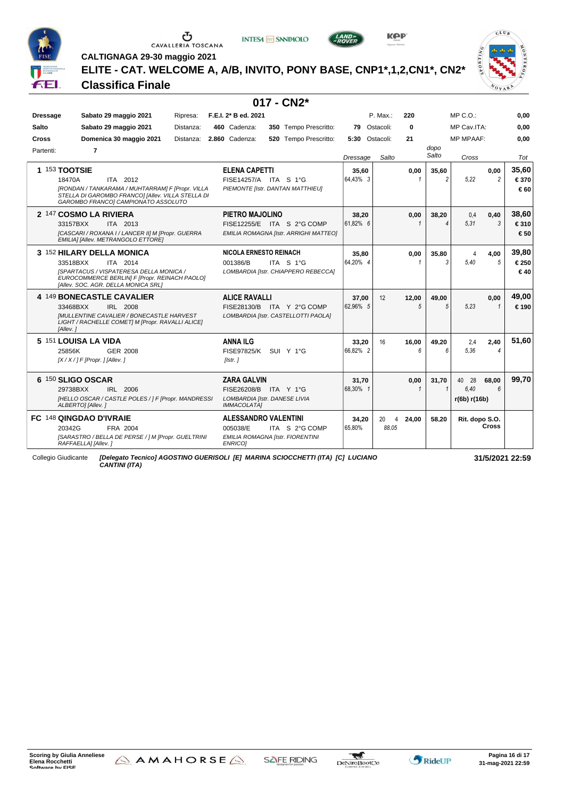







**CALTIGNAGA 29-30 maggio 2021**

**ELITE - CAT. WELCOME A, A/B, INVITO, PONY BASE, CNP1\*,1,2,CN1\*, CN2\***

#### **Classifica Finale**

| $017 - CN2*$         |                                                                                                                                                                                      |           |                                                                                                    |  |                                                                     |                   |                               |                     |               |                                  |                        |                      |
|----------------------|--------------------------------------------------------------------------------------------------------------------------------------------------------------------------------------|-----------|----------------------------------------------------------------------------------------------------|--|---------------------------------------------------------------------|-------------------|-------------------------------|---------------------|---------------|----------------------------------|------------------------|----------------------|
| <b>Dressage</b>      | Sabato 29 maggio 2021                                                                                                                                                                | Ripresa:  | F.E.I. 2* B ed. 2021                                                                               |  |                                                                     |                   | P. Max.:                      | 220                 |               | $MP C. O.$ :                     |                        | 0,00                 |
| <b>Salto</b>         | Sabato 29 maggio 2021                                                                                                                                                                | Distanza: | 460 Cadenza:                                                                                       |  | 350 Tempo Prescritto:                                               | 79                | Ostacoli:                     | $\bf{0}$            |               | MP Cav.ITA:                      |                        | 0.00                 |
| Cross                | Domenica 30 maggio 2021                                                                                                                                                              | Distanza: | 2.860 Cadenza:                                                                                     |  | 520 Tempo Prescritto:                                               | 5:30 Ostacoli:    |                               | 21                  |               | <b>MP MPAAF:</b>                 |                        | 0,00                 |
| Partenti:            | 7                                                                                                                                                                                    |           |                                                                                                    |  |                                                                     | Dressage          | Salto                         |                     | dopo<br>Salto | Cross                            |                        | Tot                  |
| <b>1 153 TOOTSIE</b> | 18470A<br>ITA 2012<br>[RONDAN / TANKARAMA / MUHTARRAM] F [Propr. VILLA<br>STELLA DI GAROMBO FRANCO] [Allev. VILLA STELLA DI<br>GAROMBO FRANCOI CAMPIONATO ASSOLUTO                   |           | <b>ELENA CAPETTI</b><br>FISE14257/A ITA S 1°G<br>PIEMONTE [Istr. DANTAN MATTHIEU]                  |  |                                                                     | 35,60<br>64.43% 3 |                               | 0,00<br>1           | 35.60         | 5,22                             | 0,00<br>$\overline{2}$ | 35,60<br>€370<br>€60 |
|                      | 2 147 COSMO LA RIVIERA<br>33157BXX<br>ITA 2013<br>[CASCARI / ROXANA I / LANCER II] M [Propr. GUERRA<br>EMILIA] [Allev. METRANGOLO ETTORE]                                            |           | PIETRO MAJOLINO                                                                                    |  | FISE12255/E ITA S 2°G COMP<br>EMILIA ROMAGNA [Istr. ARRIGHI MATTEO] | 38.20<br>61.82% 6 |                               | 0,00                | 38.20         | 0.4<br>5.31                      | 0,40<br>3              | 38,60<br>€310<br>€50 |
|                      | 3 152 HILARY DELLA MONICA<br>ITA 2014<br>33518BXX<br>[SPARTACUS / VISPATERESA DELLA MONICA /<br>EUROCOMMERCE BERLIN] F [Propr. REINACH PAOLO]<br>[Allev. SOC. AGR. DELLA MONICA SRL] |           | <b>NICOLA ERNESTO REINACH</b><br>001386/B                                                          |  | ITA S 1°G<br>LOMBARDIA [Istr. CHIAPPERO REBECCA]                    | 35,80<br>64.20% 4 |                               | 0,00<br>1           | 35,80         | $\Delta$<br>5.40                 | 4,00<br>5              | 39,80<br>€250<br>€40 |
|                      | 4 149 BONECASTLE CAVALIER<br>33468BXX<br>IRL 2008<br><b>IMULLENTINE CAVALIER / BONECASTLE HARVEST</b><br>LIGHT / RACHELLE COMET] M [Propr. RAVALLI ALICE]<br>[Allev.]                |           | <b>ALICE RAVALLI</b>                                                                               |  | FISE28130/B ITA Y 2°G COMP<br>LOMBARDIA [Istr. CASTELLOTTI PAOLA]   | 37,00<br>62.96% 5 | 12                            | 12,00<br>5          | 49.00         | 5.23                             | 0,00<br>$\mathbf{1}$   | 49,00<br>€190        |
|                      | 5 151 LOUISA LA VIDA<br>GER 2008<br>25856K<br>$[X/X/]$ F [Propr. ] [Allev. ]                                                                                                         |           | <b>ANNA ILG</b><br><b>FISE97825/K</b><br>[Istr.]                                                   |  | SUI Y 1°G                                                           | 33,20<br>66.82% 2 | 16                            | 16,00<br>$\epsilon$ | 49,20         | 2,4<br>5,36                      | 2,40<br>4              | 51.60                |
|                      | 6 150 SLIGO OSCAR<br>29738BXX<br>IRL 2006<br>[HELLO OSCAR / CASTLE POLES / ] F [Propr. MANDRESSI<br>ALBERTO] [Allev.]                                                                |           | <b>ZARA GALVIN</b><br>FISE26208/B ITA Y 1°G<br>LOMBARDIA [Istr. DANESE LIVIA<br><b>IMMACOLATA1</b> |  |                                                                     | 31,70<br>68.30% 1 |                               | 0,00<br>1           | 31,70         | 28<br>40<br>6.40<br>r(6b) r(16b) | 68,00<br>6             | 99,70                |
|                      | FC 148 QINGDAO D'IVRAIE<br>20342G<br>FRA 2004<br>[SARASTRO / BELLA DE PERSE / ] M [Propr. GUELTRINI<br>RAFFAELLA] [Allev.]                                                           |           | <b>ALESSANDRO VALENTINI</b><br>005038/E<br>EMILIA ROMAGNA [Istr. FIORENTINI<br><b>ENRICO1</b>      |  | ITA S 2°G COMP                                                      | 34,20<br>65.80%   | 20<br>$\overline{4}$<br>88.05 | 24,00               | 58.20         | Rit. dopo S.O.                   | <b>Cross</b>           |                      |

Collegio Giudicante *[Delegato Tecnico] AGOSTINO GUERISOLI [E] MARINA SCIOCCHETTI (ITA) [C] LUCIANO CANTINI (ITA)*

**31/5/2021 22:59**

 $CLU$ 

 $\sqrt[n]{\mathbf{v}}$ 

**Scoring by Giulia Anneliese Elena Rocchetti**<br>Software by FISE